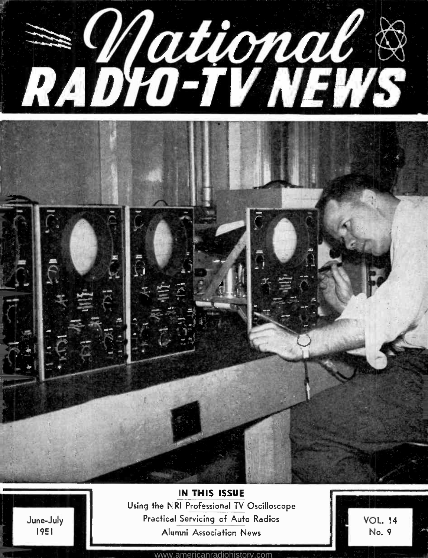



IN THIS ISSUE Using the NRI Professional TV Oscilloscope Practical Servicing of Auto Radies Alumni Association News



<www.americanradiohistory.com>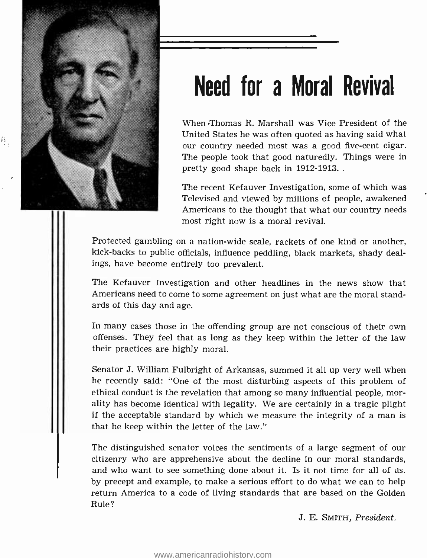

 $\frac{2}{3}$ 

# Need for a Moral Revival

When .Thomas R. Marshall was Vice President of the United States he was often quoted as having said what our country needed most was a good five-cent cigar. The people took that good naturedly. Things were in pretty good shape back in 1912-1913.

The recent Kefauver Investigation, some of which was Televised and viewed by millions of people, awakened Americans to the thought that what our country needs most right now is a moral revival.

Protected gambling on a nation -wide scale, rackets of one kind or another, kick -backs to public officials, influence peddling, black markets, shady dealings, have become entirely too prevalent.

The Kefauver Investigation and other headlines in the news show that Americans need to come to some agreement on just what are the moral standards of this day and age.

In many cases those in the offending group are not conscious of their own offenses. They feel that as long as they keep within the letter of the law their practices are highly moral.

Senator J. William Fulbright of Arkansas, summed it all up very well when he recently said: "One of the most disturbing aspects of this problem of ethical conduct is the revelation that among so many influential people, morality has become identical with legality. We are certainly in a tragic plight if the acceptable standard by which we measure the integrity of a man is that he keep within the letter of the law."

The distinguished senator voices the sentiments of a large segment of our citizenry who are apprehensive about the decline in our moral standards, and who want to see something done about it. Is it not time for all of us. by precept and example, to make a serious effort to do what we can to help return America to a code of living standards that are based on the Golden Rule?

J. E. SMITH, President.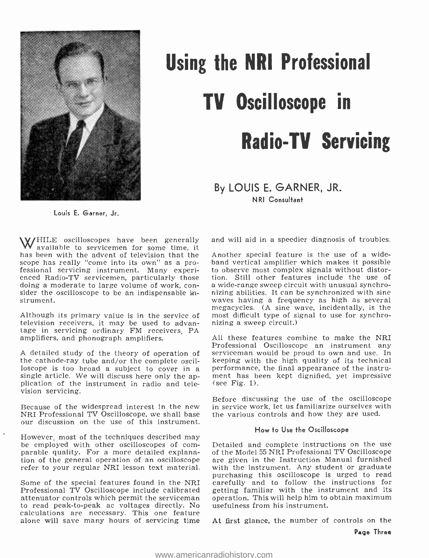

# Using the NRI Professional TV Oscilloscope in **Radio-TV Servicing**

By LOUIS E. GARNER, JR. NRI Consultant

Louis E. Garner, Jr.

WHILE oscilloscopes have been generally available to servicemen for some time, it has been with the advent of television that the Another special feature is the use of a wide-<br>scope has really "come into its own" as a pro-<br>band vertical amplifier which makes it possible fessional servicing instrument. Many experi-<br>enced Radio-TV servicemen, particularly those tion. Still other features include the use of<br>doing a moderate to large volume of work, con-<br>a wide-range sweep circuit with unusua doing a moderate to large volume of work, consider the oscilloscope to be an indispensable instrument.

Although its primary value is in the service of most difficult type of singleright the service of singleright  $\alpha$ television receivers, it may be used to advantage in servicing ordinary FM receivers, PA amplifiers, and phonograph amplifiers.

the cathode-ray tube and/or the complete oscil-<br>loscope is too broad a subject to cover in a single article. We will discuss here only the ap-<br>plication of the instrument in radio and television servicing.

Because of the widespread interest in the new NRI Professional TV Oscilloscope, we shall base our discussion on the use of this instrument.

However, most of the techniques described may<br>be employed with other oscilloscopes of com- Detailed and complete instructions on the use parable quality. For a more detailed explanation of the general operation of an oscilloscope refer to your regular NRI lesson text material.

Some of the special features found in the NRI Professional TV Oscilloscope include calibrated attenuator controls which permit the serviceman to read peak -to -peak ac voltages directly. No calculations are necessary. This one feature alone will save many hours of servicing time and will aid in a speedier diagnosis of troubles.

Another special feature is the use of a wideto observe most complex signals without distortion. Still other features include the use of a wide-range sweep circuit with unusual synchro-<br>nizing abilities. It can be synchronized with sine waves having a frequency as high as several megacycles. (A sine wave, incidentally, is the most difficult type of signal to use for synchro-

A detailed study of the theory of operation of serviceman would be proud to own and use. In All these features combine to make the NRI serviceman would be proud to own and use. In keeping with the high quality of its technical performance, the final appearance of the instrument has been kept dignified, yet impressive (see Fig. 1).

> Before discussing the use of the oscilloscope in service work, let us familiarize ourselves with the various controls and how they are used.

#### How to Use the Oscilloscope

of the Model 55 NRI Professional TV Oscilloscope are given in the Instruction Manual furnished with the instrument. Any student or graduate purchasing this oscilloscope is urged to read carefully and to follow the instructions for getting familiar with the instrument and its operation. This will help him to obtain maximum usefulness from his instrument.

At first glance, the number of controls on the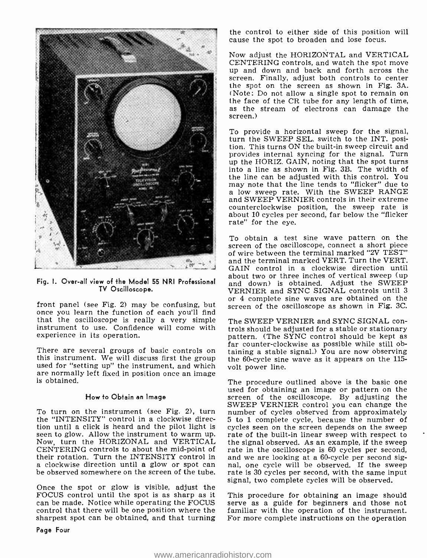

#### Fig. 1. Over-all view of the Model 55 NRI Professional TV Oscilloscope.

front panel (see Fig. 2) may be confusing, but<br>once you learn the function of each you'll find<br>that the oscilloscope is really a very simple<br> $T_{\text{he}}$  SWEEP VERNIER and SYNC SIGNAL conthat the oscilloscope is really a very simple instrument to use. Confidence will come with experience in its operation.

are normally left fixed in position once an image is obtained.

#### How to Obtain an Image

To turn on the instrument (see Fig. 2), turn the "INTENSITY" control in a clockwise direction until a click is heard and the pilot light is cycles seen on the screen depends on the sweep seen to glow. Allow the instrument to warm up. rate of the built-in linear sweep with respect to Now, turn the HORIZONAL and VERTICAL the signal observed. As an example, if the sweep CENTERING controls to about the mid-point of rate in the oscilloscope is 60 cycles per second, CENTERING controls to about the mid-point of rate in the oscilloscope is 60 cycles per second, their rotation. Turn the INTENSITY control in and we are looking at a 60-cycle per second sigtheir rotation. Turn the INTENSITY control in and we are looking at a 60-cycle per second sig-<br>a clockwise direction until a glow or spot can be observed somewhere on the screen of the tube. The same is 30 cycles per secon

Once the spot or glow is visible, adjust the FOCUS control until the spot is as sharp as it This procedure for obtaining an image should can be made. Notice while operating the FOCUS serve as a guide for beginners and those not control that there will be one position where the sharpest spot can be obtained, and that turning

Page Four

the control to either side of this position will cause the spot to broaden and lose focus.

Now adjust the HORIZONTAL and VERTICAL up and down and back and forth across the screen. Finally, adjust both controls to center the spot on the screen as shown in Fig. 3A. (Note: Do not allow a single spot to remain on the face of the CR tube for any length of time, as the stream of electrons can damage the screen.)

To provide a horizontal sweep for the signal, turn the SWEEP SEL. switch to the INT. position. This turns ON the built-in sweep circuit and provides internal syncing for the signal. Turn up the HORIZ. GAIN, noting that the spot turns into a line as shown in Fig. 3B. The width of the line can be adjusted with this control. You<br>may note that the line tends to "flicker" due to a low sweep rate. With the SWEEP RANGE and SWEEP VERNIER controls in their extreme counterclockwise position, the sweep rate is about 10 cycles per second, far below the "flicker rate" for the eye.

To obtain a test sine wave pattern on the screen of the oscilloscope, connect a short piece of wire between the terminal marked "2V TEST" and the terminal marked VERT. Turn the VERT. GAIN control in a clockwise direction until about two or three inches of vertical sweep (up and down) is obtained. Adjust the SWEEP<br>VERNIER and SYNC SIGNAL controls until 3 or 4 complete sine waves are obtained on the

There are several groups of basic controls on the stable signal.) You are now observing<br>this instrument. We will discuss first the group the 60-cycle sine wave as it appears on the 115-<br>used for "setting up" the instrument trols should be adjusted for a stable or stationary pattern. (The SYNC control should be kept as taining a stable signal.) You are now observing

> The procedure outlined above is the basic one used for obtaining an image or pattern on the screen of the oscilloscope. By adjusting the SWEEP VERNIER control you can change the number of cycles observed from approximately 5 to 1 complete cycle, because the number of rate of the built-in linear sweep with respect to the signal observed. As an example, if the sweep nal, one cycle will be observed. If the sweep signal, two complete cycles will be observed.

> This procedure for obtaining an image should familiar with the operation of the instrument. For more complete instructions on the operation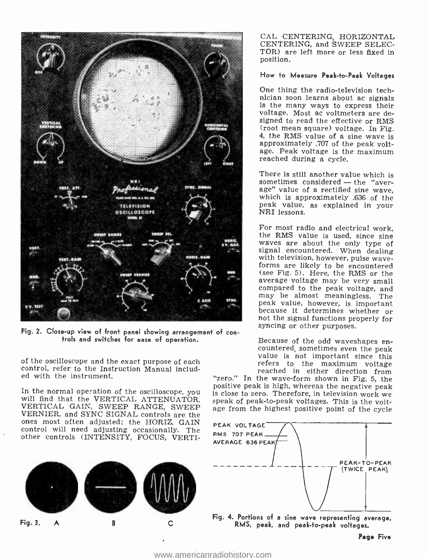

Fig. 2. Close -up view of front panel showing arrangement of con- trols and switches for ease of operation.

of the oscilloscope and the exact purpose of each control, refer to the Instruction Manual included with the instrument.

In the normal operation of the oscilloscope, you<br>will find that the VERTICAL ATTENUATOR, speak of peak-to-peak voltages. This is the volt-<br>VERTICAL GAIN, SWEEP RANGE, SWEEP age from the highest positive point of the quale VERNIER, and SYNC SIGNAL controls are the ones most often adjusted; the HORIZ. GAIN control will need adjusting occasionally. The other controls (INTENSITY, FOCUS, VERTI-



CAL CENTERING, HORIZONTAL CENTERING, and SWEEP SELEC-TOR) are left more or less fixed in position.

#### How to Measure Peak -to -Peak Voltages

One thing the radio -television technician soon learns about ac signals is the many ways to express their voltage. Most ac voltmeters are designed to read the effective or RMS (root mean square) voltage. In Fig. 4, the RMS value of a sine wave is approximately .707 of the peak voltage. Peak voltage is the maximum reached during a cycle.

There is still another value which is sometimes considered  $-$  the "average" value of a rectified sine wave, which is approximately .636 of the peak value, as explained in your NRI lessons.

For most radio and electrical work,<br>the RMS value is used, since sine<br>waves are about the only type of<br>signal encountered. When dealing with television, however, pulse wave-<br>forms are likely to be encountered (see Fig. 5). Here, the RMS or the average voltage may be very small compared to the peak voltage, and may be almost meaningless. The because it determines whether or not the signal functions properly for syncing or other purposes.

Because of the odd waveshapes en-<br>countered, sometimes even the peak<br>value is not important since this<br>refers to the maximum voltage reached in either direction from

"zero." In the wave-form shown in Fig. 5, the positive peak is high, whereas the negative peak speak of peak-to-peak voltages. This is the voltage from the highest positive point of the cycle



Fig. 4. Portions of a sine wave representing average, RMS, peak, and peak-to-peak voltages.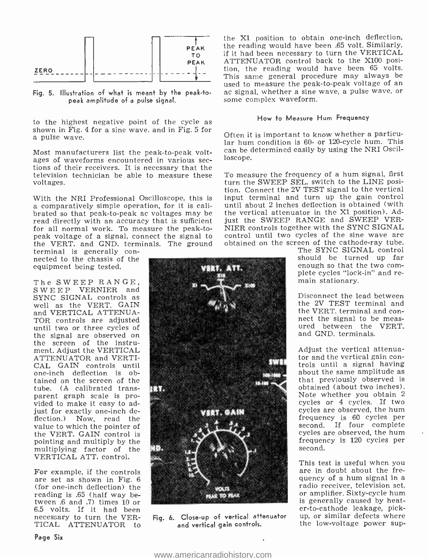

Fig. 5. Illustration of what is meant by the peak-topeak amplitude of a pulse signal.

to the highest negative point of the cycle as shown in Fig. 4 for a sine wave, and in Fig. 5 for a pulse wave.

Most manufacturers list the peak-to-peak volt-<br>ages of waveforms encountered in various sections of their receivers. It is necessary that the television technician be able to measure these voltages.

With the NRI Professional Oscilloscope, this is a comparatively simple operation, for it is calibrated so that peak -to -peak ac voltages may be read directly with an accuracy that is sufficient for all normal work. To measure the peak-topeak voltage of a signal, connect the signal to control until two cycles of the sine wave are<br>the VERT, and GND, terminals. The ground obtained on the screen of the cathode-ray tube. the VERT. and GND. terminals. The ground<br>terminal is generally con-<br>nected to the chassis of the

equipment being tested.

The SWEEP RANGE, SWEEP VERNIER and SYNC SIGNAL controls as well as the VERT. GAIN and VERTICAL ATTENUA-TOR controls are adjusted until two or three cycles of the signal are observed on the screen of the instrument. Adjust the VERTICAL ATTENUATOR and VERTI-CAL GAIN controls until<br>one-inch deflection is obtained on the screen of the tube. (A calibrated transparent graph scale is provided to make it easy to adjust for exactly one-inch de-<br>flection.) Now, read the Now, read the value to which the pointer of the VERT. GAIN control is pointing and multiply by the multiplying factor of the VERTICAL ATT. control.

For example, if the controls are set as shown in Fig. <sup>6</sup> (for one -inch deflection) the reading is .65 (half way between .6 and .7) times 10 or 6.5 volts. If it had been necessary to turn the VER-TICAL ATTENUATOR to the Xl position to obtain one -inch deflection, the reading would have been .65 volt. Similarly, if it had been necessary to turn the VERTICAL ATTENUATOR control back to the X100 position, the reading would have been 65 volts. This same general procedure may always be used to measure the peak-to-peak voltage of an ac signal, whether a sine wave, a pulse wave, or some complex waveform.

#### How to Measure Hum Frequency

Often it is important to know whether a particu- lar hum condition is 60- or 120 -cycle hum. This can be determined easily by using the NRI Oscilloscope.

To measure the frequency of a hum signal, first turn the SWEEP SEL. switch to the LINE position. Connect the 2V TEST signal to the vertical input terminal and turn up the gain control until about 2 inches deflection is obtained (with the vertical attenuator in the Xl position). Adjust the SWEEP RANGE and SWEEP VER-NIER controls together with the SYNC SIGNAL control until two cycles of the sine wave are

The SYNC SIGNAL control should be turned up far<br>enough so that the two complete cycles "lock-in" and re-<br>main stationary.

Disconnect the lead between the 2V TEST terminal and the VERT. terminal and con-<br>nect the signal to be meas-<br>ured between the VERT. and GND. terminals.

Adjust the vertical attenuatrols until a signal having<br>about the same amplitude as that previously observed is obtained (about two inches). Note whether you obtain <sup>2</sup> cycles or 4 cycles. If two cycles are observed, the hum frequency is 60 cycles per second. If four complete cycles are observed, the hum frequency is 120 cycles per second.

This test is useful when you are in doubt about the frequency of a hum signal in a<br>radio receiver, television set,<br>or amplifier. Sixty-cycle hum is generally caused by heat-<br>er-to-cathode leakage, pickup, or similar defects where the low-voltage power sup-



VERT. ATT.

<www.americanradiohistory.com>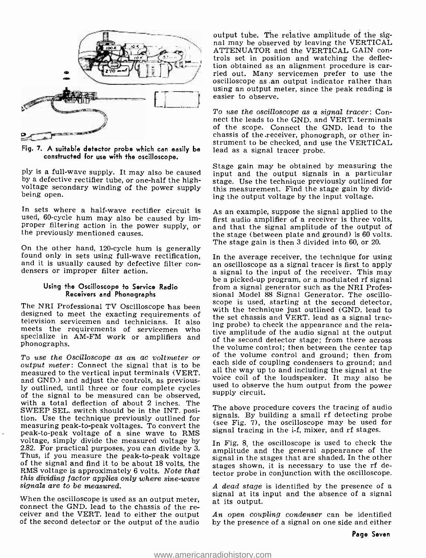

Fig. 7. A suitable detector probe which can easily be constructed for use with the oscilloscope.

ply is a full-wave supply. It may also be caused by a defective rectifier tube, or one-half the high-voltage secondary winding of the power supply being open.

In sets where a half-wave rectifier circuit is used, 60-cycle hum may also be caused by improper filtering action in the power supply, or the previously mentioned causes.

On the other hand, 120-cycle hum is generally found only in sets using full-wave rectification, and it is usually caused by defective filter con-<br>densers or improper filter action.

#### Using the Oscilloscope to Service Radio Receivers and Phonographs

The NRI Professional TV Oscilloscope has been designed to meet the exacting requirements of television servicemen and technicians. It also meets the requirements of servicemen who specialize in AM-FM work or amplifiers and phonographs.

measured to the vertical input terminals (VERT. all the way up<br>and GND.) and adjust the controls, as previous-<br>ly outlined, until three or four complete cycles<br>of to simply circuit. of the signal to be measured can be observed, with a total deflection of about 2 inches. The SWEEP SEL. switch should be in the INT. posi- tion. Use the technique previously outlined for measuring peak-to-peak voltages. To convert the peak -to -peak voltage of a sine wave to RMS voltage, simply divide the measured voltage by 2.82. For practical purposes, you can divide by 3. Thus, if you measure the peak-to-peak voltage of the signal and find it to be about 18 volts, the RMS voltage is approximately 6 volts. Note that this dividing factor applies only where sine -wave signals are to be measured.

connect the GND. lead to the chassis of the receiver and the VERT. lead to either the output of the second detector or the output of the audio output tube. The relative amplitude of the sig-<br>nal may be observed by leaving the VERTICAL<br>ATTENUATOR and the VERTICAL GAIN controls set in position and watching the deflection obtained as an alignment procedure is car- ried out. Many servicemen prefer to use the oscilloscope as an output indicator rather than using an output meter, since the peak reading is easier to observe.

To use the oscilloscope as a signal tracer: Connect the leads to the GND. and VERT. terminals of the scope. Connect the GND. lead to the chassis of the.receiver, phonograph, or other instrument to be checked, and use the VERTICAL lead as a signal tracer probe.

Stage gain may be obtained by measuring the input and the output signals in a particular stage. Use the technique previously outlined for this measurement. Find the stage gain by dividing the output voltage by the input voltage.

As an example, suppose the signal applied to the first audio amplifier of a receiver is three volts, and that the signal amplitude of the output of the stage (between plate and ground) is 60 volts. The stage gain is then 3 divided into 60, or 20.

To use the Oscilloscope as an ac voltmeter or of the volume control and ground; then from output meter: Connect the signal that is to be each side of coupling condensers to ground; and In the average receiver, the technique for using<br>an oscilloscope as a signal tracer is first to apply<br>a signal to the input of the receiver. This may<br>be a picked-up program, or a modulated rf signal<br>from a signal generator sional Model 88 Signal Generator. The oscilloscope is used, starting at the second detector, with the technique just outlined (GND. lead to the set chassis and VERT. lead as a signal tracing probe) to check the appearance and the relative amplitude of the audio signal at the output of the second detector stage; from there across the volume control; then between the center tap each side of coupling condensers to ground; and all the way up to and including the signal at the voice coil of the loudspeaker. It may also be used to observe the hum output from the power

> The above procedure covers the tracing of audio signals. By building a small rf detecting probe (see Fig. 7), the oscilloscope may be used for signal tracing in the i-f, mixer, and rf stages.

> In Fig. 8, the oscilloscope is used to check the amplitude and the general appearance of the signal in the stages that are shaded. In the other stages shown, it is necessary to use the rf detector probe in conjunction with the oscilloscope.

When the oscilloscope is used as an output meter,  $\frac{1}{2}$  its output, and the absence of a signal A dead stage is identified by the presence of a at its output.

> An open coupling condenser can be identified by the presence of a signal on one side and either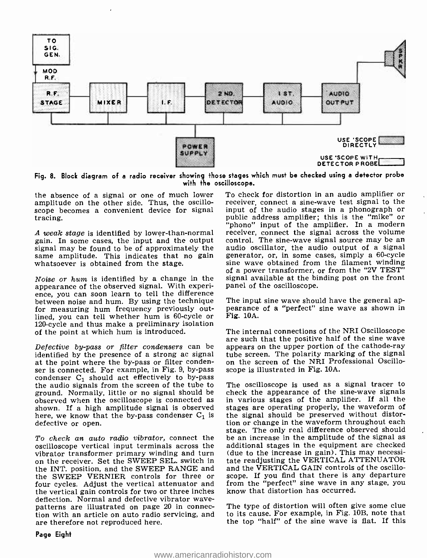

Fig. B. Block diagram of a radio receiver showing those stages which must be checked using a detector probe with the oscilloscope.

amplitude on the other side. Thus, the oscilloscope becomes a convenient device for signal tracing.

A weak stage is identified by lower-than-normal gain. In some cases, the input and the output signal may be found to be of approximately the same amplitude. This indicates that no gain whatsoever is obtained from the stage.

Noise or hum is identified by a change in the appearance of the observed signal. With experience, you can soon learn to tell the difference between noise and hum. By using the technique for measuring hum frequency previously outlined, you can tell whether hum is 60 -cycle or 120 -cycle and thus make a preliminary isolation of the point at which hum is introduced.

Defective by-pass or filter condensers can be identified by the presence of a strong ac signal tube screen. The polarity marking of the signal<br>at the point where the by-pass or filter conden- on the screen of the NRI Professional Oscilloat the point where the by -pass or filter conden- ser is connected. For example, in Fig. 9, by -pass condenser  $C_1$  should act effectively to by-pass the audio signals from the screen of the tube to ground. Normally, little or no signal should be shown. If a high amplitude signal is observed here, we know that the by-pass condenser  $C_1$  is defective or open.

To check an auto radio vibrator, connect the be an increase in the amplitude of the signal as oscilloscope vertical input terminals across the on the receiver. Set the SWEEP SEL. switch in the INT. position, and the SWEEP RANGE and the SWEEP VERNIER controls for three or four cycles. Adjust the vertical attenuator and the vertical gain controls for two or three inches deflection. Normal and defective vibrator wavepatterns are illustrated on page 20 in connection with an article on auto radio servicing, and are therefore not reproduced here.

the absence of a signal or one of much lower To check for distortion in an audio amplifier or receiver, connect a sine-wave test signal to the input of the audio stages in a phonograph or public address amplifier; this is the "mike" or "phono" input of the amplifier. In a modern receiver, connect the signal across the volume control. The sine-wave signal source may be an audio oscillator, the audio output of a signal generator, or, in some cases, simply a 60-cycle sine wave obtained from the filament winding of a power transformer, or from the "2V TEST" signal available at the binding post on the front panel of the oscilloscope.

> The input sine wave should have the general appearance of a "perfect" sine wave as shown in Fig. 10A.

> The internal connections of the NRI Oscilloscope<br>are such that the positive half of the sine wave appears on the upper portion of the cathode-ray tube screen. The polarity marking of the signal scope is illustrated in Fig. 10A.

> The oscilloscope is used as a signal tracer to check the appearance of the sine -wave signals in various stages of the amplifier. If all the stages are operating properly, the waveform of the signal should be preserved without distortion or change in the waveform throughout each stage. The only real difference observed should additional stages in the equipment are checked (due to the increase in gain). This may necessitate readjusting the VERTICAL ATTENUATOR and the VERTICAL GAIN controls of the oscilloscope. If you find that there is any departure from the "perfect" sine wave in any stage, you know that distortion has occurred.

> The type of distortion will often give some clue to its cause. For example, in Fig. 10B, note that the top "half" of the sine wave is flat. If this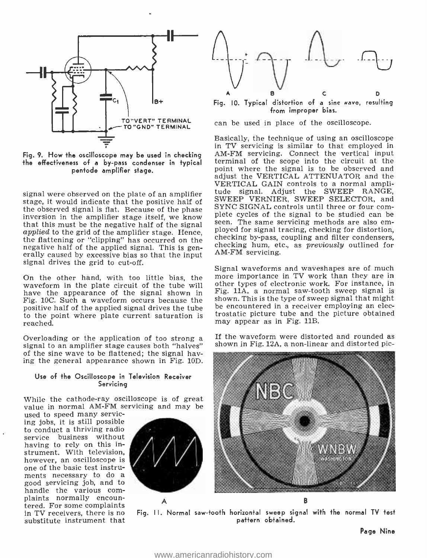

the effectiveness of a by -pass condenser in typical pentode amplifier stage.

stage, it would indicate that the positive half of SWEEP VERNIER, SWEEP SELECTOR, and<br>the observed signal is flat. Because of the phase. SYNC SIGNAL controls until three or four comthe observed signal is flat. Because of the phase inversion in the amplifier stage itself, we know helte cycles of the signal to be studied can be that this must be the negative half of the signal seen. The same servicing applied to the grid of the amplifier stage. Hence, ployed for signal tracing, checking for distortion, the flattening or "clipping" has occurred on the flattening or "clipping" has occurred on the flattening by-pass, coupl erally caused by excessive bias so that the input signal drives the grid to cut-off.

waveform in the plate circuit of the tube will have the appearance of the signal shown in Fig. 10C. Such a waveform occurs because the positive half of the applied signal drives the tube to the point where plate current saturation is reached.

of the sine wave to be flattened; the signal having the general appearance shown in Fig. 10D.

#### Use of the Oscilloscope in Television Receiver Servicing

While the cathode-ray oscilloscope is of great value in normal AM-FM servicing and may be

used to speed many servicing jobs, it is still possible to conduct a thriving radio service business without having to rely on this instrument. With television, however, an oscilloscope is one of the basic test instruments necessary to do a good servicing job, and to plaints normally encoun-<br>tered. For some complaints in TV receivers, there is no substitute instrument that





Fig. 10. Typical distortion of a sine wave, resulting from improper bias.

can be used in place of the oscilloscope.

Fig. 9. How the oscilloscope may be used in checking AM-FM servicing. Connect the vertical input<br>the effectiveness of a by-pass condenser in typical terminal of the scope into the circuit at the signal were observed on the plate of an amplifier tude signal. Adjust the SWEEP RANGE Basically, the technique of using an oscilloscope in TV servicing is similar to that employed in AM-FM servicing. Connect the vertical input point where the signal is to be observed and adjust the VERTICAL ATTENUATOR and the VERTICAL GAIN controls to a normal ampli-SWEEP VERNIER, SWEEP SELECTOR, and seen. The same servicing methods are also emchecking by -pass, coupling and filter condensers, checking hum, etc., as previously outlined for AM-FM servicing.

On the other hand, with too little bias, the more importance in TV work than they are in Signal waveforms and waveshapes are of much other types of electronic work. For instance, in Fig. 11A, a normal saw -tooth sweep signal is shown. This is the type of sweep signal that might be encountered in a receiver employing an electrostatic picture tube and the picture obtained may appear as in Fig. 11B.

Overloading or the application of too strong a If the waveform were distorted and rounded as signal to an amplifier stage causes both "halves" shown in Fig. 12A, a non-linear and distorted picshown in Fig. 12A, a non-linear and distorted pic-



Fig. II. Normal saw-tooth horizontal sweep signal with the normal TV test pattern obtained.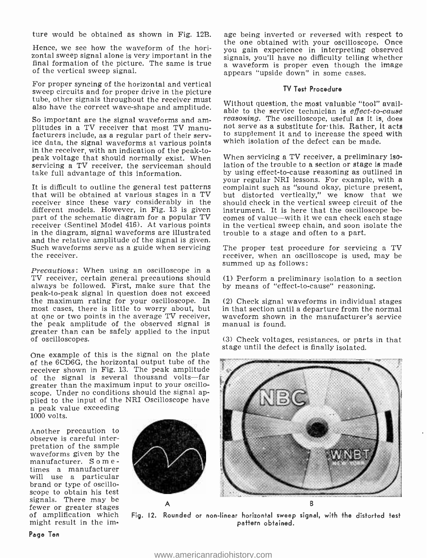ture would be obtained as shown in Fig. 12B.

Hence, we see how the waveform of the horizontal sweep signal alone is very important in the signals, you'll have no difficulty telling whether final formation of the picture. The same is true of the vertical sweep signal.

For proper syncing of the horizontal and vertical<br>sweep circuits and for proper drive in the picture tube, other signals throughout the receiver must

So important are the signal waveforms and amplitudes in a TV receiver that most TV manufacturers include, as a regular part of their service data, the signal waveforms at various points in the receiver with an indication o peak voltage that should normally exist. When servicing a TV receiver, the serviceman should take full advantage of this information.

receiver since these vary considerably in the different models. However, in Fig. 13 is given instrument. It is here that the oscilloscope be-<br>part of the schematic diagram for a popular TV comes of value—with it we can check each stage part of the schematic diagram for a popular TV receiver (Sentinel Model 416). At various points in the diagram, signal waveforms are illustrated and the relative amplitude of the signal is given. Such waveforms serve as a guide when servicing the receiver.

Precautions: When using an oscilloscope in a TV receiver, certain general precautions should always be followed. First, make sure that the peak -to -peak signal in question does not exceed the maximum rating for your oscilloscope. In most cases, there is little to worry about, but at one or two points in the average TV receiver, the peak amplitude of the observed signal is greater than can be safely applied to the input of oscilloscopes.

One example of this is the signal on the plate of the 6CD6G, the horizontal output tube of the receiver shown in Fig. 13. The peak amplitude of the signal is several thousand volts-far greater than the maximum input to your oscilloscope. Under no conditions should the signal applied to the input of the NRI Oscilloscope have a peak value exceeding 1000 volts.

Another precaution to observe is careful interwaveforms given by the manufacturer. Sometimes a manufacturer brand or type of oscilloscope to obtain his test signals. There may be fewer or greater stages<br>of amplification which might result in the im-



age being inverted or reversed with respect to the one obtained with your oscilloscope. Once you gain experience in interpreting observed a waveform is proper even though the image appears "upside down" in some cases.

#### TV Test Procedure

also have the correct wave-shape and amplitude. Without question, the most valuable tool avail-<br>able to the service technician is effect-to-cause Without question, the most valuable "tool" availreasoning. The oscilloscope, useful as it is, does not serve as a substitute for this. Rather, it acts to supplement it and to increase the speed with which isolation of the defect can be made.

It is difficult to outline the general test patterns complaint such as "sound okay, picture present, that will be obtained at various stages in a TV but distorted vertically," we know that will be obtained at various stage When servicing a TV receiver, a preliminary isolation of the trouble to a section or stage is made by using effect-to-cause reasoning as outlined in but distorted vertically," we know that we instrument. It is here that the oscilloscope bein the vertical sweep chain, and soon isolate the trouble to a stage and often to a part.

> The proper test procedure for servicing a TV receiver, when an oscilloscope is used, may be summed up as follows:

> (1) Perform a preliminary isolation to a section by means of "effect-to-cause" reasoning.

> (2) Check signal waveforms in individual stages in that section until a departure from the normal waveform shown in the manufacturer's service manual is found.

> (3) Check voltages, resistances, or parts in that stage until the defect is finally isolated.



Fig. 12. Rounded or non-linear horizontal sweep signal, with the distorted test pattern obtained.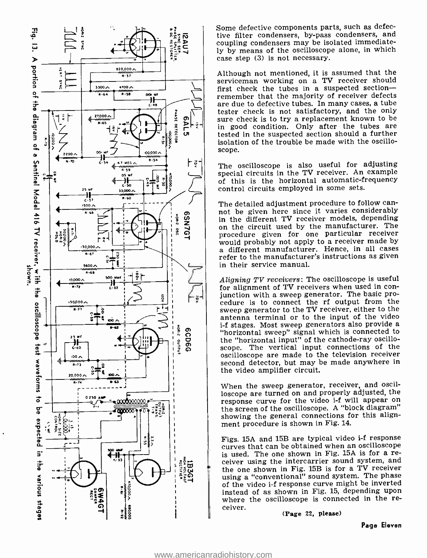

Some defective components parts, such as defective filter condensers, by -pass condensers, and coupling condensers may be isolated immediately by means of the oscilloscope alone, in which case step (3) is not necessary.

Although not mentioned, it is assumed that the serviceman working on a TV receiver should<br>first check the tubes in a suspected section--first check the tubes in a suspected section—<br>remember that the majority of receiver defects<br>are due to defective tubes. In many cases, a tube<br>tester check is not satisfactory, and the only sure check is to try a replacement known to be in good condition. Only after the tubes are tested in the suspected section should a further isolation of the trouble be made with the oscilloscope.

The oscilloscope is also useful for adjusting special circuits in the TV receiver. An example of this is the horizontal automatic-frequency control circuits employed in some sets.

The detailed adjustment procedure to follow can- not be given here since it varies considerably in the different TV receiver models, depending on the circuit used by the manufacturer. The procedure given for one particular receiver would probably not apply to a receiver made by a different manufacturer. Hence, in all cases refer to the manufacturer's instructions as given in their service manual.

Aligning TV receivers: The oscilloscope is useful<br>for alignment of TV receivers when used in conjunction with a sweep generator. The basic procedure is to connect the rf output from the sweep generator to the TV receiver, either to the antenna terminal or to the input of the video <sup>i</sup>-f stages. Most sweep generators also provide a "horizontal sweep" signal which is connected to the "horizontal input" of the cathode-ray oscilloscope. The vertical input connections of the oscilloscope are made to the television receiver second detector, but may be made anywhere in the video amplifier circuit.

When the sweep generator, receiver, and oscilloscope are turned on and properly adjusted, the the screen of the oscilloscope. A "block diagram" showing the general connections for this alignment procedure is shown in Fig. 14.

Figs. 15A and 15B are typical video i-f response curves that can be obtained when an oscilloscope is used. The one shown in Fig. 15A is for a re- ceiver using the intercarrier sound system, and the one shown in Fig. 15B is for a TV receiver using a "conventional" sound system. The phase of the video i-f response curve might be inverted instead of as shown in Fig. 15, depending upon where the oscilloscope is connected in the re-<br>ceiver.

(Page 22, please)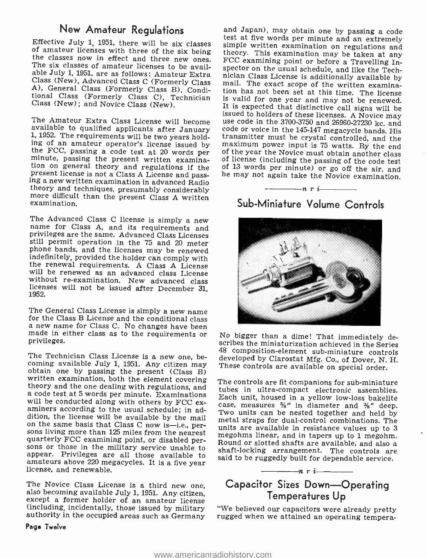### New Amateur Regulations

the classes now in effect and three new ones.<br>The six classes of amateur licenses to be available July 1, 1951, are as follows: Amateur Extra Class (New), Advanced Class C (Formerly Class A), General Class (Formerly Class

The Amateur Extra Class License will become available to qualified applicants after January 1, 1952. The requirements will be two years holding of an amateur operator's license issued by the FCC, passing a code test at 20

The Advanced Class C license is simply a new<br>name for Class A, and its requirements and<br>privileges are the same. Advanced Class Licenses<br>still permit operation in the 75 and 20 meter<br>phone bands, and the licenses may be re without re-examination. New advanced class licenses will not be issued after December 31, 1952.

The General Class License is simply a new name<br>for the Class B License and the conditional class<br>a new name for Class C. No changes have been<br>made in either class as to the requirements or No bigger than a dime! That immed privileges.

The Technician Class License is a new one, becoming available July 1, 1951. Any citizen may These controls are available on special order.<br>
obtain one by passing the present (Class B)<br>
written examination, both the element covering The controls are fit companions fo aminers according to the usual schedule; in ad-<br>dition, the license will be available by the mail on the same basis that Class C now is—i.e., per mail attraps for dual-control combinations. The<br>sons living more than 125 miles from the nearest<br>sons living more than 125 miles from the nearest<br>quarterly FCC examining poin appear. Privileges are all those available to amateurs above 220 megacycles. It is a five year license, and renewable.

The Novice Class License is a third new one, **Capacitor Sizes Down—Operating**<br>also becoming available July 1, 1951. Any citizen, except a former holder of an amateur license (including, incidentally, those issued by milita (including, incidentally, those issued by military authority in the occupied areas such as Germany

Page Twelve

Effective July 1, 1951, there will be six classes<br>of amateur licenses with three of the six being<br>theory. This examination on regulations and<br>theory. This examination may be taken at any and Japan), may obtain one by passing a code<br>test at five words per minute and an extremely<br>simple written examination on regulations and<br>theory. This examination may be taken at any<br>FCC examining point or before a Travell nician Class License is additionally available by mail. The exact scope of the written examination has not been set at this time. The license is valid for one year and may not be renewed. It is expected that distinctive call signs will be<br>issued to holders of these licenses. A Novice may<br>use code in the 3700-3750 and 26960-27230 kc. and<br>code or voice in the 145-147 megacycle bands. His<br>code or voice in the

## $-n \rightharpoonup i$ Sub -Miniature Volume Controls



scribes the miniaturization achieved in the Series<br>48 composition-element sub-miniature controls developed by Clarostat Mfg. Co., of Dover, N. H.

The controls are fit companions for sub-miniature tubes in ultra-compact electronic assemblies. Each unit, housed in a yellow low-loss bakelite case, measures  $\frac{56}{9}$  in diameter and  $\frac{26}{9}$  deep. Two units can be nested together and held by units are available in resistance values up to <sup>3</sup> megohms linear, and in tapers up to 1 megohm. said to be ruggedly built for dependable service.

## Capacitor Sizes Down- Operating Temperatures Up

 $-\eta$ ri

rugged when we attained an operating tempera-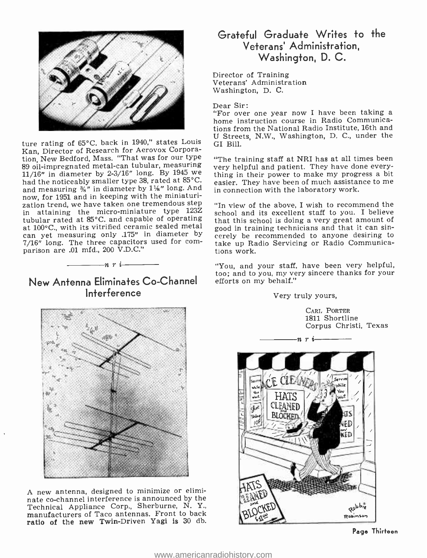

ture rating of 65°C. back in 1940," states Louis Kan, Director of Research for Aerovox Corporation, New Bedford, Mass. "That was for our type 89 oil-impregnated metal-can tubular, measuring  $11/16''$  in diameter by 2-3/16" long. By 1945 we had the noticeably smaller type 38, rated at  $85^{\circ}$ C. They have been of much assistant and measuring  $%$ " in diameter by 1 $%$ " long. And in connection with the laboratory work. and measuring  $\frac{3}{8}$ " in diameter by  $1\frac{1}{8}$ " long. And now, for 1951 and in keeping with the miniaturization trend, we have taken one tremendous step in attaining the micro-miniature type 123Z tubular rated at 85 °C. and capable of operating at 100 °C., with its vitrified ceramic sealed metal can yet measuring only .175" in diameter by 7/16" long. The three capacitors used for com-<br>parison are .01 mfd., 200 V.D.C."

## New Antenna Eliminates Co-Channel Interference



A new antenna, designed to minimize or eliminate co-channel interference is announced by the Technical Appliance Corp., Sherburne, N. Y., manufacturers of Taco antennas. Front to back ratio of the new Twin-Driven Yagi is 30 db.

### Grateful Graduate Writes to the Veterans' Administration, Washington, D. C.

Director of Training Veterans' Administration Washington, D. C.

Dear Sir:<br>"For over one year now I have been taking a home instruction course in Radio Communications from the National Radio Institute, 16th and U Streets, N.W., Washington, D. C., under the GI Bill.

"The training staff at NRI has at all times been very helpful and patient. They have done everything in their power to make my progress a bit easier. They have been of much assistance to me

"In view of the above, I wish to recommend the school and its excellent staff to you. I believe that this school is doing a very great amount of good in training technicians and that it can sincerely be recommended to anyone desiring to take up Radio Servicing or Radio Communications work.

"You, and your staff, have been very helpful, too; and to you, my very sincere thanks for your efforts on my behalf."

Very truly yours,

CARI. PORTER 1811 Shortline Corpus Christi, Texas



Page Thirteen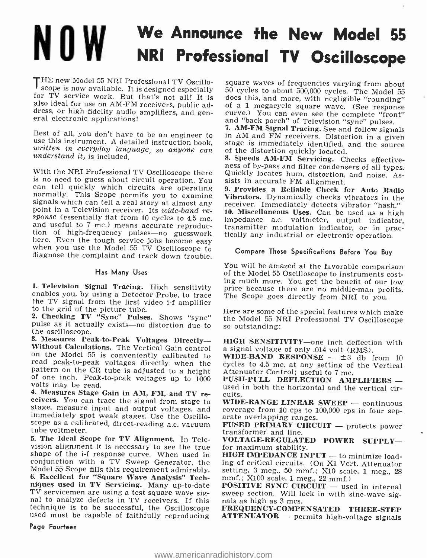# NOW We Announce the New Model 55 NRI Professional TV Oscilloscope

THE new Model 55 NRI Professional TV Oscillofor TV service work. But that's not all! It is<br>also ideal for use on AM-FM receivers, public ad-<br>dress, or high fidelity audio amplifiers, and gen-<br>eral electronic applications!

Best of all, you don't have to be an engineer to use this instrument. A detailed instruction book, written in everyday language, so anyone can understand it, is included.

can tell quickly which circuits are operating<br>normally. This Scope permits you to examine<br>signals which can tell a real story at almost any point in a Television receiver. Its *wide-band re*<br>
10. Miscellaneous Uses. Can be used as a high<br> *sponse* (essentially flat from 10 cycles to 4.5 mc.<br>
impedance a.c. voltmeter, output indicator,<br>
and useful to 7 mc.) me

#### Has Many Uses

1. Television Signal Tracing. High sensitivity enables you, by using a Detector Probe, to trace the TV signal from the first video i-f amplifier to the grid of the picture tube.<br>2. Checking TV "Sync" Pulses. Shows "sync"

pulse as it actually exists—no distortion due to<br>the oscilloscope.<br>3. Measures Peak-to-Peak Voltages Directly—

pulse as it actually exists—no distortion due to so outstanding:<br>3. Measures Peak-to-Peak Voltages Directly—<br>Without Calculations. The Vertical Gain control on the Model 55 is conveniently calibrated to read peak-to-peak pattern on the CR tube is adjusted to a height of one inch. Peak -to -peak voltages up to 1000 volts may be read.

4. Measures Stage Gain in AM, FM, and TV re- cuits.<br>ceivers. You can trace the signal from stage to WIDI stage, measure input and output voltages, and immediately spot weak stages. Use the Oscilloscope as a calibrated, direct-reading a.c. vacuum<br>tube voltmeter.

5. The Ideal Scope for TV Alignment. In Tele-5. The Ideal Scope for TV Alignment. In Tele-<br>vision alignment it is necessary to see the true for maximum stability.<br>shape of the i-f response curve. When used in HIGH IMPEDANCE INPUT --- to minimize loadconjunction with a TV Sweep Generator, the 6. Excellent for "Square Wave Analysis" Tech-6. Excellent for "Square Wave Analysis" Tech-<br>niques used in TV Servicing. Many up-to-date POSITIVE SYNC CIRCUIT — used in internal<br>TV servicemen are using a test square wave sig-<br>sweep section. Will lock in with sine-wav nal to analyze defects in TV receivers. If this nals as high as 3 mcs.<br>technique is to be successful, the Oscilloscope FREQUENCY-COMPE<br>used must be capable of faithfully reproducing ATTENUATOR — per

Page Fourteen

square waves of frequencies varying from about 50 cycles to about 500,000 cycles. The Model 55 does this, and more, with negligible "rounding"<br>of a 1 megacycle square wave. (See response<br>curve.) You can even see the complete "front"<br>and "back porch" of Telvision "sync" pulses.<br>7. **AM-FM Signal Tracing.** See and foll

stage is immediately identified, and the source<br>of the distortion quickly located.<br>8. Speeds AM-FM Servicing. Checks effective-

ness of by-pass and filter condensers of all types.<br>With the NRI Professional TV Oscilloscope there Quickly locates hum, distortion, and noise. As-<br>is no need to guess about circuit operation. You sists in accurate FM alig Quickly locates hum, distortion, and noise. As-

9. Provides a Reliable Check for Auto Radio Vibrators. Dynamically checks vibrators in the receiver. Immediately detects vibrator "hash." transmitter modulation indicator, or in prac-

#### Compare These Specifications Before You Buy

You will be amazed at the favorable comparison of the Model 55 Oscilloscope to instruments costing much more. You get the benefit of our low price because there are no middle -man profits. The Scope goes directly from NRI to you.

Here are some of the special features which make the Model 55 NRI Professional TV Oscilloscope

HIGH SENSITIVITY-one inch deflection with

PUSH-PULL DEFLECTION AMPLIFIERS used in both the horizontal and the vertical cir-

WIDE-RANGE LINEAR SWEEP  $-$  continuous coverage from 10 cps to 100,000 cps in four sep-

arate overlapping ranges.<br>FUSED PRIMARY CIRCUIT - protects power<br>transformer and line.

HIGH IMPEDANCE INPUT - to minimize loading of critical circuits. (On Xl Vert. Attenuator setting, 3 meg., 50 mmf.; X10 scale, 1 meg., 28

POSITIVE SYNC CIRCUIT - used in internal

FREQUENCY-COMPENSATED THREE-STEP  $ATTENUATOR$  - permits high-voltage signals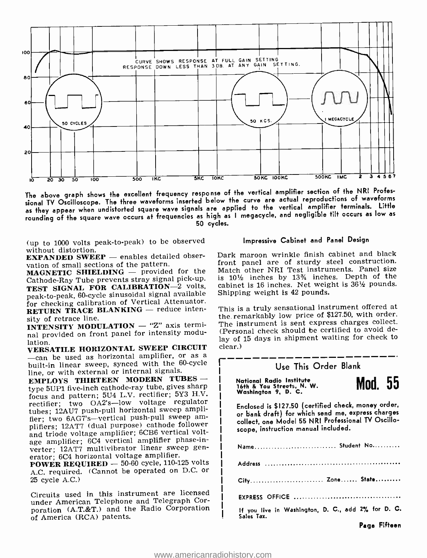

The above graph shows the excellent frequency response of the vertical amplifier section of the NRI Professional TV Oscilloscope. The three waveforms inserted below the curve are actual reproductions of waveforms as they appear when undistorted square wave signals are applied to the vertical amplifier terminals. Little rounding of the square wave occurs at frequencies as high as I megacycle, and negligible tilt occurs as low as 50 cycles.

(up to 1000 volts peak-to-peak) to be observed without distortion.

EXPANDED SWEEP  $-$  enables detailed observation of small sections of the pattern.

MAGNETIC SHIELDING - provided for the Cathode-Ray Tube prevents stray signal pick-up. TEST SIGNAL FOR CALIBRATION-2 volts, peak -to -peak, 60 -cycle sinusoidal signal available peak-to-peak, oo-cycle sinasonaal sighti available<br>for checking calibration of Vertical Attenuator.<br>**RETURN TRACE BLANKING** — reduce inten-**RETURN TRACE BLANKING** — reduce intensity of retrace line.

INTENSITY MODULATION  $-$  "Z" axis terminal provided on front panel for intensity modu-

lation.<br>**VERSATILE HORIZONTAL SWEEP CIRCUIT** cle -can be used as horizontal amplifier, or as a built -in linear sweep, synced with the 60 -cycle line, or with external or internal signals.

EMPLOYS THIRTEEN MODERN TUBES type 5UP1 five-inch cathode-ray tube, gives sharp focus and pattern; 5U4 L.V. rectifier; 5Y3 H.V. rectifier; two OA2's-low voltage regulator tubes; 12AU7 push-pull horizontal sweep ampli-<br>fier; two 6AG7's—vertical push-pull sweep amplifiers; 12AT7 (dual purpose) cathode follower and triode voltage amplifier; 6CB6 vertical voltage amplifier; 6C4 vertical amplifier phase-inverter; 12AT7 multivibrator linear sweep generator; 6C4 horizontal voltage amplifier.

POWER REQUIRED  $-50-60$  cycle, 110-125 volts A.C. required. (Cannot be operated on D.C. or 25 cycle A.C.)

Circuits used in this instrument are licensed under American Telephone and Telegraph Corporation (A.T.&T.) and the Radio Corporation of America (RCA) patents.

#### Impressive Cabinet and Panel Design

Dark maroon wrinkle finish cabinet and black front panel are of sturdy steel construction. Match other NRI Test instruments. Panel size is  $10\frac{1}{2}$  inches by  $13\frac{3}{4}$  inches. Depth of the cabinet is 16 inches. Net weight is  $36\frac{1}{2}$  pounds. Shipping weight is 42 pounds.

This is a truly sensational instrument offered at the remarkably low price of \$127.50, with order. The instrument is sent express charges collect. (Personal check should be certified to avoid delay of 15 days in shipment waiting for check to clear.)

# Use This Order Blank National Radio Institute<br>16th & You Streets, N. W. **MOd. 55**<br>Washington 9, D. C. Enclosed is \$127.50 (certified check, money order, or bank draft) for which send me, express charges collect, one Model 55 NRI Professional TV Oscilloscope, instruction manual included. Name Student No Address City Zone State EXPRESS OFFICE If you live in Washington, D. C., add 2% for D. C.<br>Sales Tax. Page Fifteen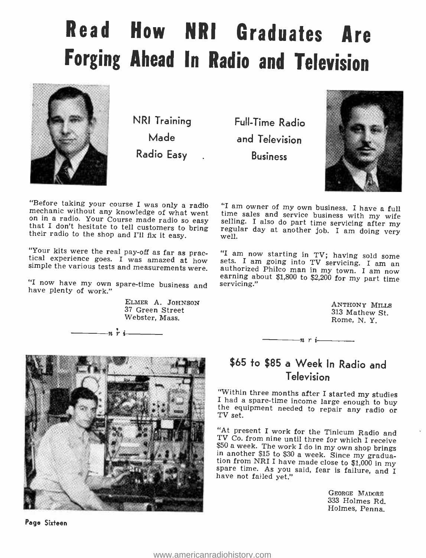# Read How NRI Graduates Are Forging Ahead In Radio and Television



Made

NRI Training Full -Time Radio Radio Easy Business and Television



"Before taking your course I was only a radio<br>mechanic without any knowledge of what went<br>on in a radio. Your Course made radio so easy<br>that I don't hesitate to tell customers to bring<br>their radio to the shop and I'll fix

"Your kits were the real pay -off as far as prac- tical experience goes. I was amazed at how simple the various tests and measurements were. "I now have my own spare -time business and have plenty of work."

 $-\frac{n}{r}$  i  $-\frac{1}{r}$ 

ELMER A. JOHNSON 37 Green Street Webster, Mass.

"I am owner of my own business. I have a full time sales and service business with my wife selling. I also do part time servicing after my regular day at another job. I am doing very well.

"I am now starting in TV; having sold some sets. I am going into TV servicing. I am an authorized Philco man in my town. I am now earning about \$1,800 to \$2,200 for my part time servicing."

ANTHONY MILLS 313 Mathew St. Rome, N. Y.



## \$65 to \$85 a Week In Radio and Television

"Within three months after I started my studies I had a spare -time income large enough to buy the equipment needed to repair any radio or TV set.

"At present I work for the Tinicum Radio and TV Co. from nine until three for which I receive \$50 a week. The work I do in my own shop brings in another \$15 to \$30 a week. Since my graduation from NRI I have made close to

GEORGE MADORE 333 Holmes Rd. Holmes, Penna.



Page Sixteen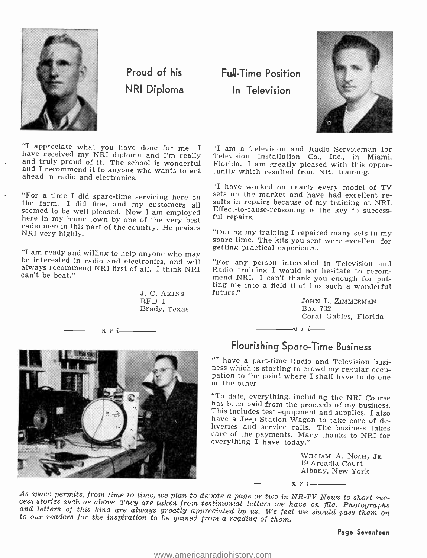

Proud of his NRI Diploma

# Full-Time Position In Television



"I appreciate what you have done for me. I have received my NRI diploma and I'm really and truly proud of it. The school is wonderful and I recommend it to anyone who wants to get ahead in radio and electronics.

"For a time I did spare-time servicing here on<br>the farm. I did fine, and my customers all<br>seemed to be well pleased. Now I am employed<br>here in my home town by one of the very best<br>radio men in this part of the country. He

"I am ready and willing to help anyone who may be interested in radio and electronics, and will always recommend NRI first of all. I think NRI can't be beat."

 $-n$  r i

J. C. AKINS Brady, Texas



"For any person interested in Television and Radio training I would not hesitate to recom-<br>mend NRI. I can't thank you enough for put-<br>ting me into a field that has such a wonderful<br>future."

"I am a Television and Radio Serviceman for Florida. I am greatly pleased with this oppor-<br>tunity which resulted from NRI training.

"I have worked on nearly every model of TV sults in repairs because of my training at NRI. Effect-to-cause-reasoning is the key to success-ful repairs.

"During my training I repaired many sets in my spare time. The kits you sent were excellent for getting practical experience.

> JOHN L. ZIMMERMAN Box 732 Coral Gables, Florida

## Flourishing Spare -Time Business

 $\longrightarrow$ nri $\longrightarrow$ 

"I have a part -time Radio and Television busi- ness which is starting to crowd my regular occu- pation to the point where I shall have to do one or the other.

"To date, everything, including the NRI Course<br>has been paid from the proceeds of my business.<br>This includes test equipment and supplies. I also<br>have a Jeep Station Wagon to take care of de-<br>liveries and service calls. The care of the payments. Many thanks to NRI for everything I have today."

> WILLIAM A. NOAH, JR. 19 Arcadia Court Albany, New York

As space permits, from time to time, we plan to devote a page or two in NR-TV News to short suc-<br>As space permits, from time to time, we plan to devote a page or two in NR-TV News to short success stories such as above. They are taken from testimonial letters we have on file. Photographs<br>and letters of this kind are always greatly appreciated by us. We feel we should pass them on<br>to our readers for the inspirat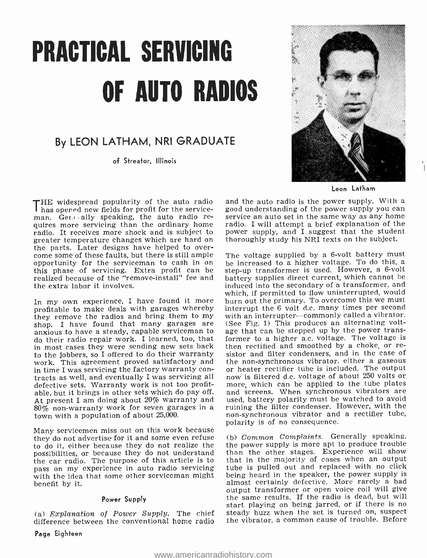# PRACTICAL SERVICING OF AUTO RADIOS

### By LEON LATHAM, NRI GRADUATE

of Streator, Illinois



Leon Latham

THE widespread popularity of the auto radio and I has opened new fields for profit for the service- go<br>man. Getter ally speaking, the auto radio re- servicing than the ordinary home ra quires more servicing than the ordinary home<br>radio. It receives more shock and is subject to<br>greater temperature changes which are hard on the parts. Later designs have helped to over-<br>come some of these faults, but there is still ample The voltage supplied by a 6-volt battery must<br>opportunity for the serviceman to cash in on be increased to a higher voltage. opportunity for the serviceman to cash in on this phase of servicing. Extra profit can be realized because of the "remove-install" fee and the extra labor it involves.

In my own experience, I have found it more profitable to make deals with garages whereby they remove the radios and bring them to my shop. I have found that many garages are anxious to have a steady, capable serviceman to do their radio repair work. I learned, too, that in most cases they were sending new sets back then rectified and smoothed by a choke, or re-<br>to the inhbers so I offered to do their warranty sistor and filter condensers, and in the case of to the jobbers, so I offered to do their warranty sistor and filter condensers, and in the case of work. This agreement proved satisfactory and the non-synchronous vibrator, either a gaseous work. This agreement proved satisfactory and<br>in time I was servicing the factory warranty contracts as well, and eventually I was servicing all now is filtered d.c. voltage of about 250 volts or defective sets. Warranty work is not too profit- more, which can be applied to the tube plates defective sets. Warranty work is not too profitable, but it brings in other sets which do pay off. At present I am doing about 20% warranty and used, battery polarity must be watched to avoid<br>80% non-warranty work for seven garages in a - ruining the filter condenser. However, with the 80% non -warranty work for seven garages in a town with a population of about 25,000.

Many servicemen miss out on this work because they do not advertise for it and some even refuse to do it, either because they do not realize the possibilities, or because they do not understand the car radio. The purpose of this article is to pass on my experience in auto radio servicing with the idea that some other serviceman might benefit by it.

#### Power Supply

difference between the conventional home radio

and the auto radio is the power supply. With a good understanding of the power supply you can service an auto set in the same way as any home radio. I will attempt a brief explanation of the power supply, and I suggest that the student thoroughly study his NRI texts on the subject.

The voltage supplied by a 6-volt battery must step-up transformer is used. However, a 6-volt battery supplies direct current, which cannot be induced into the secondary of a transformer, and which, if permitted to flow uninterrupted, would burn out the primary. To overcome this we must interrupt the 6 volt d.c. many times per second with an interrupter-commonly called a vibrator. (See Fig. 1) This produces an alternating voltage that can be stepped up by the power transformer to a higher a.c. voltage. The voltage is then rectified and smoothed by a choke, or reor heater rectifier tube is included. The output now is filtered d.c. voltage of about 250 volts or and screens. When synchronous vibrators are used, battery polarity must be watched to avoid non-synchronous vibrator and a rectifier tube, polarity is of no consequence.

(a) Explanation of Power Supply. The chief steady buzz when the set is turned on, suspect (b) Common Complaints. Generally speaking, the power supply is more apt to produce trouble than the other stages. Experience will show that in the majority of cases when an output tube is pulled out and replaced with no click being heard in the speaker, the power supply is almost certainly defective. More rarely a bad output transformer or open voice coil will give the same results. If the radio is dead, but will start playing on being jarred, or if there is no the vibrator, a common cause of trouble. Before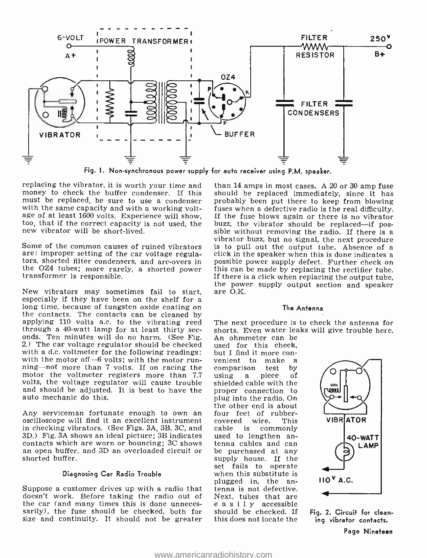

Fig. I. Non-synchronous power supply for auto receiver using P.M. speaker.

replacing the vibrator, it is worth your time and money to check the buffer condenser. If this should be replaced immediately, since it has must be replaced, be sure to use a condenser probably been put there to keep from blowing must be replaced, be sure to use a condenser with the same capacity and with a working voltage of at least 1600 volts. Experience will show, If the fuse blows again or there is no vibrator too, that if the correct capacity is not used, the buzz, the vibrator should be replaced—if postoo, that if the correct capacity is not used, the new vibrator will be short -lived.

are: improper setting of the car voltage regula-<br>tors, shorted filter condensers, and arc-overs in<br>the OZ4 tubes; more rarely, a shorted power<br>transformer is responsible.

New vibrators may sometimes fail to start, the power supply output section and speaker<br>especially if they have been on the shelf for a<br>long time, because of tungsten oxide coating on<br>the contacts. The contacts can be clean through a 40-watt lamp for at least thirty sec-<br>onds. Ten minutes will do no harm. (See Fig.<br>2.) The car voltage regulator should be checked<br>with a d.c. voltmeter for the following readings: with the motor of  $-6$  volts; with the motor run-<br>ning—not more than 7 volts. If on racing the comparison test by motor the voltmeter registers more than 7.7 volts, the voltage regulator will cause trouble and should be adjusted. It is best to have the auto mechanic do this.

Any serviceman fortunate enough to own an four fe<br>oscilloscope will find it an excellent instrument covered<br>in checking vibrators. (See Figs. 3A, 3B, 3C, and cable in checking vibrators. (See Figs. 3A, 3B, 3C, and cable is commonly<br>3D.) Fig. 3A shows an ideal picture; 3B indicates used to lengthen an-3D.) Fig. 3A shows an ideal picture; 3B indicates used to lengthen ancontacts which are worn or bouncing; 3C shows tenna cables and can contacts which are worn or bouncing; 3C shows an open buffer, and 3D an overloaded circuit or shorted buffer.

#### Diagnosing Car Radio Trouble

Suppose a customer drives up with a radio that tenna is not defective. doesn't work. Before taking the radio out of Next, tubes that are<br>the car (and many times this is done unneces-e a s i l y accessible sarily), the fuse should be checked, both for should be checked. If size and continuity. It should not be greater this does not locate the size and continuity. It should not be greater

Some of the common causes of ruined vibrators is to pull out the output tube. Absence of a than 14 amps in most cases. A 20 or 30 amp fuse should be replaced immediately, since it has fuses when a defective radio is the real difficulty. sible without removing the radio. If there is a vibrator buzz, but no signal, the next procedure click in the speaker when this is done indicates a possible power supply defect. Further check on this can be made by replacing the rectifier tube. If there is a click when replacing the output tube, are O.K.

#### The Antenna

The next procedure is to check the antenna for shorts. Even water leaks will give trouble here. An ohmmeter can be

used for this check, but I find it more con-<br>venient to make a<br>comparison test by<br>using a piece of using shielded cable with the proper connection to plug into the radio. On the other end is about four feet of rubber-<br>covered wire. This<br>cable is commonly be purchased at any supply house. If the set fails to operate when this substitute is plugged in, the an-Next, tubes that are<br>e a s i l y accessible<br>should be checked. If Fig. 2. Circuit for clean-



should be checked. If Fig. 2. Circuit for clear<br>this does not locate the ing vibrator contacts.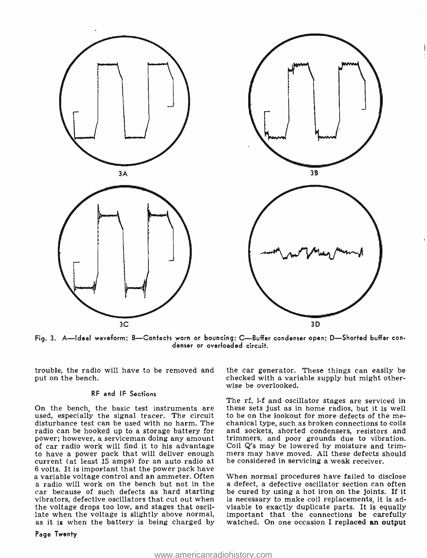

Fig. 3. A -Ideal waveform; B- Contacts worn or bouncing; C- Buffer condenser open; D- Shorted buffer con- denser or overloaded circuit.

trouble, the radio will have to be removed and put on the bench.

#### RF and IF Sections

On the bench, the basic test instruments are used, especially the signal tracer. The circuit to be on the lookout for more defects of the me-<br>disturbance test can be used with no harm. The chanical type, such as broken connections to coils disturbance test can be used with no harm. The radio can be hooked up to a storage battery for power; however, a serviceman doing any amount of car radio work will find it to his advantage to have a power pack that will deliver enough current (at least 15 amps) for an auto radio at a variable voltage control and an ammeter. Often When normal procedures have failed to disclose a radio will work on the bench but not in the a defect, a defective oscillator section can often car because of such defects as hard starting vibrators, defective oscillators that cut out when the voltage drops too low, and stages that oscillate when the voltage is slightly above normal, important that the connections be carefully as it is when the battery is being charged by watched. On one occasion I replaced an output

#### Page Twenty

the car generator. These things can easily be checked with a variable supply but might other-<br>wise be overlooked.

The rf, i-f and oscillator stages are serviced in these sets just as in home radios, but it is well to be on the lookout for more defects of the meand sockets, shorted condensers, resistors and trimmers, and poor grounds due to vibration. Coil Q's may be lowered by moisture and trimmers may have moved. All these defects should be considered in servicing a weak receiver.

a defect, a defective oscillator section can often be cured by using a hot iron on the joints. If it is necessary to make coil replacements, it is advisable to exactly duplicate parts. It is equally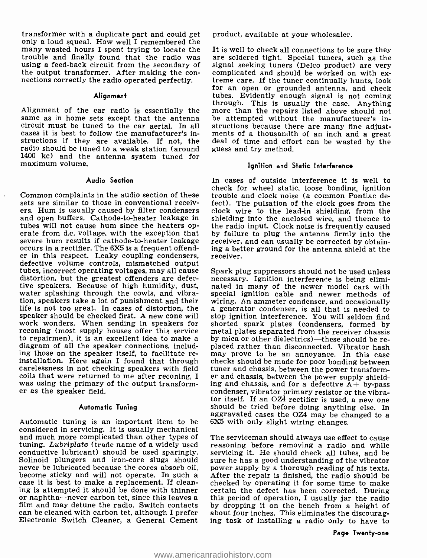transformer with a duplicate part and could get only a loud squeal. How well I remembered the many wasted hours I spent trying to locate the trouble and finally found that the radio was using a feed-back circuit from the secondary of signal seeking tuners (Delco product) are very the output transformer. After making the con-<br>nections correctly the radio operated perfectly. treme care. If the tuner continually hunts, look

#### Alignment

Alignment of the car radio is essentially the more than the repairs listed above should not same as in home sets except that the antenna be attempted without the manufacturer's incircuit must be tuned to the car aerial. In circuit must be tuned to the car aerial. In all cases it is best to follow the manufacturer's instructions if they are available. If not, the deal of time and effort can be wasted by the radio should be tuned to a weak station (around 1400 kc) and the antenna system tuned for maximum volume.

#### Audio Section

ers. Hum is usually caused by filter condensers. and open buffers. Cathode-to-heater leakage in tubes will not cause hum since the heaters operate from d.c. voltage, with the exception that severe hum results if cathode-to-heater leakage<br>occurs in a rectifier. The 6X5 is a frequent offend-<br>er in this respect. Leaky coupling condensers, defective volume controls, mismatched output tubes, incorrect operating voltages, may all cause distortion, but the greatest offenders are defective speakers. Because of high humidity, dust, water splashing through the cowls, and vibration, speakers take a lot of punishment and their wiring. An ammeter condenser, and occasionally life is not too great. In cases of distortion, the a generator condenser, is all that is needed to life is not too great. In cases of distortion, the speaker should be checked first. A new cone will stop ignition interference. You will seldom find work wonders. When sending in speakers for shorted spark plates (condensers, formed by work wonders. When sending in speakers for reconing (most supply houses offer this service<br>to metal plates separated from the receiver chassis<br>to repairmen), it is an excellent idea to make a by mica or other dielectrics)—these should be reto repairmen), it is an excellent idea to make a diagram of all the speaker connections, including those on the speaker itself, to facilitate re-<br>installation. Here again I found that through checks should be made for poor bonding between<br>carelessness in not checking speakers with field tuner and chassis, between th coils that were returned to me after reconing, I was using the primary of the output transform- er as the speaker field.

#### Automatic Tuning

Automatic tuning is an important item to be 6X5 with only slight wiring changes. considered in servicing. It is usually mechanical and much more complicated than other types of tuning. *Lubriplate* (trade name of a widely used conductive lubricant) should be used sparingly. Solinoid plungers and iron-core slugs should sure he has a good understanding of the vibrator never be lubricated because the cores absorb oil, power supply by a thorough reading of his texts. become sticky and will not operate. In such a case it is best to make a replacement. If cleaning is attempted it should be done with thinner certain the defect has been corrected. During<br>or naphtha—never carbon tet, since this leaves a film and may detune the radio. Switch contacts by dropping it on the bench from can be cleaned with carbon tet, although I prefer about four inches. This eliminates the discourag-<br>Electronic Switch Cleaner, a General Cement ing task of installing a radio only to have to

product, available at your wholesaler.

It is well to check all connections to be sure they are soldered tight. Special tuners, such as the complicated and should be worked on with exfor an open or grounded antenna, and check<br>tubes. Evidently enough signal is not coming through. This is usually the case. Anything be attempted without the manufacturer's inments of a thousandth of an inch and a great guess and try method.

#### Ignition and Static Interference

check for wheel static, loose bonding, ignition<br>Common complaints in the audio section of these<br>sets are similar to those in conventional receiv-<br>fect). The pulsation of the clock goes from the In cases of outside interference it is well to trouble and clock noise (a common Pontiac defect). The pulsation of the clock goes from the clock wire to the lead-in shielding, from the shielding into the enclosed wire, and thence to the radio input. Clock noise is frequently caused by failure to plug the antenna firmly into the receiver, and can usually be corrected by obtaining a better ground for the antenna shield at the receiver.

> Spark plug suppressors should not be used unless necessary. Ignition interference is being eliminated in many of the newer model cars with special ignition cable and newer methods of wiring. An ammeter condenser, and occasionally stop ignition interference. You will seldom find metal plates separated from the receiver chassis placed rather than disconnected. Vibrator hash may prove to be an annoyance. In this case er and chassis, between the power supply shield-<br>ing and chassis, and for a defective  $A + by$ -pass condenser, vibrator primary resistor or the vibra-<br>tor itself. If an OZ4 rectifier is used, a new one should be tried before doing anything else. In aggravated cases the OZ4 may be changed to a

> reasoning before removing a radio and while servicing it. He should check all tubes, and be power supply by a thorough reading of his texts. After the repair is finished, the radio should be checked by operating it for some time to make certain the defect has been corrected. During by dropping it on the bench from a height of about four inches. This eliminates the discourag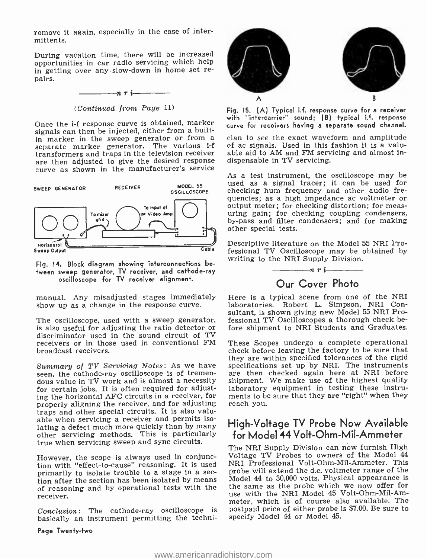remove it again, especially in the case of intermittents.

During vacation time, there will be increased opportunities in car radio servicing which help in getting over any slow -down in home set repairs.



#### (Continued from Page 11)

Once the i-f response curve is obtained, marker signals can then be injected, either from a built-<br>in marker in the sweep generator or from a<br>separate marker generator. The various i-f transformers and traps in the television receiver curve as shown in the manufacturer's service



Fig. 14. Block diagram showing interconnections be tween sweep generator, TV receiver, and cathode-ray oscilloscope for TV receiver alignment.

manual. Any misadjusted stages immediately show up as a change in the response curve.

The oscilloscope, used with a sweep generator, is also useful for adjusting the ratio detector or discriminator used in the sound circuit of TV receivers or in those used in conventional FM broadcast receivers.

Summary of TV Servicing Notes: As we have seen, the cathode-ray oscilloscope is of tremendous value in TV work and is almost a necessity for certain jobs. It is often required for adjusting the horizontal AFC circuits in a receiver, for ments to be properly aligning the receiver, and for adjusting reach you. properly aligning the receiver, and for adjusting traps and other special circuits. It is also valuable when servicing a receiver and permits isolating a defect much more quickly than by many other servicing methods. This is particularly true when servicing sweep and sync circuits.

However, the scope is always used in conjunction with "effect-to-cause" reasoning. It is used primarily to isolate trouble to a stage in a sec-<br>tion after the section has been isolated by means Model 44 to 30,000 volts. Physical appearance is<br>of reasoning and by operational tests with the the same as the probe whic receiver.

Conclusion: The cathode-ray oscilloscope is basically an instrument permitting the techni-



Fig. 15. (A) Typical i.f. response curve for a receiver with "intercarrier" sound; (B) typical i.f. response curve for receivers having a separate sound channel.

cian to see the exact waveform and amplitude of ac signals. Used in this fashion it is a valuable aid to AM and FM servicing and almost indispensable in TV servicing.

As a test instrument, the oscilloscope may be used as a signal tracer; it can be used for checking hum frequency and other audio frequencies; as a high impedance ac voltmeter or output meter; for checking distortion; for meas- uring gain; for checking coupling condensers, by -pass and filter condensers; and for making other special tests.

Descriptive literature on the Model 55 NRI Professional TV Oscilloscope may be obtained by writing to the NRI Supply Division.



## Our Cover Photo

Here is a typical scene from one of the NRI laboratories. Robert L. Simpson, NRI Consultant, is shown giving new Model 55 NRI Professional TV Oscilloscopes a thorough check before shipment to NRI Students and Graduates.

These Scopes undergo a complete operational check before leaving the factory to be sure that they are within specified tolerances of the rigid specifications set up by NRI. The instruments are then checked again here at NRI before shipment. We make use of the highest quality laboratory equipment in testing these instruments to be sure that they are "right" when they

### High -Voltage TV Probe Now Available for Model 44 Volt-Ohm-Mil-Ammeter

The NRI Supply Division can now furnish High Voltage TV Probes to owners of the Model 44 NRI Professional Volt-Ohm-Mil-Ammeter. This probe will extend the d.c. voltmeter range of the Model 44 to 30,000 volts. Physical appearance is use with the NRI Model 45 Volt-Ohm-Mil-Ammeter, which is of course also available. The postpaid price of either probe is \$7.00. Be sure to specify Model 44 or Model 45.

Page Twenty-two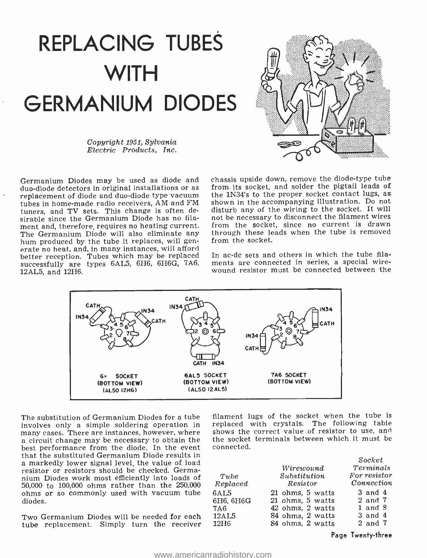# REPLACING TUBES **WITH** GERMANIUM DIODES





chassis upside down, remove the diode -type tube from. its socket, and solder the pigtail leads of the 1N34's to the proper socket contact lugs, as shown in the accompanying illustration. Do not disturb any of the wiring to the socket. It will not be necessary to disconnect the filament wires from the socket, since no current is drawn through these leads when the tube is removed from the socket.

In ac-dc sets and others in which the tube filaments are connected in series, a special wire-<br>wound resistor must be connected between the



The substitution of Germanium Diodes for a tube involves only a simple soldering operation in a circuit change may be necessary to obtain the best performance from the diode. In the event a markedly lower signal level, the value of load resistor or resistors should be checked. Germanium Diodes work most efficiently into loads of 50,000 to 100,000 ohms rather than the 250,000 ohms or so commonly used with vacuum tube diodes.

Two Germanium Diodes will be needed for each tube replacement. Simply turn the receiver

filament lugs of the socket when the tube is replaced with crystals. The following table shows the correct value of resistor to use, and the socket terminals between which it must be connected.

| Tube<br>Replaced | Wirewound<br>Substitution<br>Resistor | Socket<br>Terminals<br>For resistor<br>Connection |
|------------------|---------------------------------------|---------------------------------------------------|
| 6AL5             | 21 ohms, 5 watts                      | 3 and 4                                           |
| 6H6, 6H6G        | 21 ohms, 5 watts                      | $2$ and $7$                                       |
| 7A6              | 42 ohms, 2 watts                      | $1$ and $8$                                       |
| <b>12AL5</b>     | 84 ohms, 2 watts                      | 3 and 4                                           |
| 12H6             | 84 ohms, 2 watts                      | 2 and 7                                           |

Page Twenty -three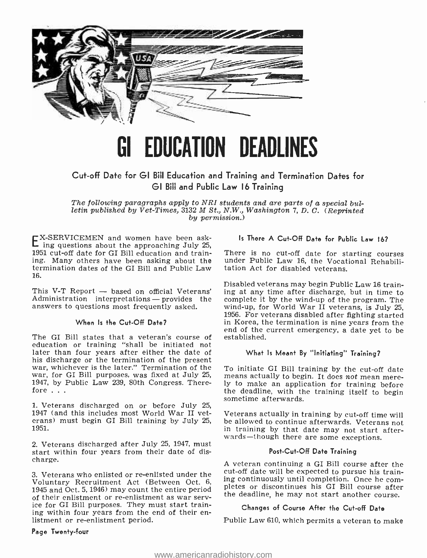

# EDUCATION DEADLINES

### Cut -off Date for GI Bill Education and Training and Termination Dates for GI Bill and Public Law 16 Training

The following paragraphs apply to NRI students and are parts of a special bulletin published by  $\bar{V}$ et-Times, 3132 M St., N.W., Washington 7, D.C. (Reprinted by permission.)

EX- SERVICEMEN and women have been ask-ing questions about the approaching July 25, 1951 cut -off date for GI Bill education and training. Many others have been asking about the under Public Law 16, the Vocational Rehabilitermination dates of the GI Bill and Public Law tation Act for disabled veterans. termination dates of the GI Bill and Public Law 16.

nd<br>This V-T Report — based on official Veterans' ing<br>Administration interpretations — provides the<br>answers to questions meet fracuently asked the Administration interpretations — provides the<br>answers to questions most frequently asked.

#### When Is the Cut-Off Date?

The GI Bill states that a veteran's course of education or training "shall be initiated not later than four years after either the date of his discharge or the termination of the present war, whichever is the later." Termination of the To initiate GI Bill training by the cut-off date war, for GI Bill purposes, was fixed at July 25, means actually to begin. It does not mean merewar, for GI Bill purposes, was fixed at July 25, 1947, by Public Law 239, 80th Congress. Therefore . . .

1. Veterans discharged on or before July 25, 1947 (and this includes most World War II veterans) must begin GI Bill training by July 25, 1951.

wards-though there are some exceptions.<br>2. Veterans discharged after July 25, 1947, must start within four years from their date of discharge.

3. Veterans who enlisted or re-enlisted under the Voluntary Recruitment Act (Between Oct. 6, the continuously until completion. Once he com-<br>1945 and Oct. 5, 1946) may count the ontine period. Pletes or discontinues his GI Bill course after 1945 and Oct. 5, 1946) may count the entire period of their enlistment or re- enlistment as war serv- ice for GI Bill purposes. They must start training within four years from the end of their en-<br>listment or re-enlistment period.

#### Is There A Cut-Off Date for Public Law 167

There is no cut-off date for starting courses

Disabled veterans may begin Public Law 16 training at any time after discharge, but in time to complete it by the wind-up of the program. The wind-up, for World War II veterans, is July 25, 1956. For veterans disabled after fighting started in Korea, the termination is nine years from the end of the current emergency, a date yet to be established.

#### What Is Meant By "Initiating" Training?

To initiate GI Bill training by the cut-off date ly to make an application for training before the deadline, with the training itself to begin sometime afterwards.

Veterans actually in training by cut -off time will be allowed to continue afterwards. Veterans not in training by that date may not start after-

#### Post-Cut-Off Date Training

A veteran continuing a GI Bill course after the cut -off date will be expected to pursue his training continuously until completion. Once he comthe deadline, he may not start another course.

#### Changes of Course After the Cut-off Date

Public Law 610, which permits a veteran to make

#### Page Twenty -four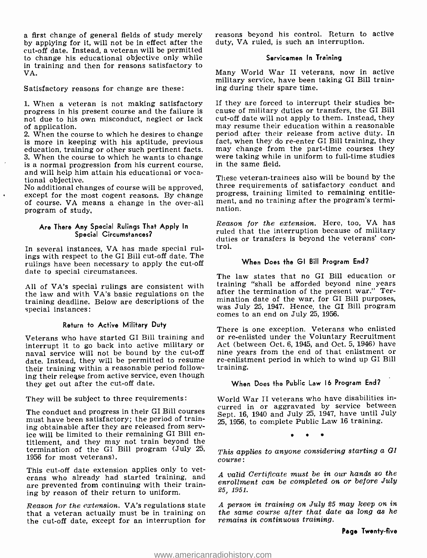a first change of general fields of study merely by applying for it, will not be in effect after the cut -off date. Instead, a veteran will be permitted to change his educational objective only while in training and then for reasons satisfactory to VA.

Satisfactory reasons for change are these:

1. When a veteran is not making satisfactory If they are forced to interrupt their studies be-<br>progress in his present course and the failure is cause of military duties or transfers, the GI Bill progress in his present course and the failure is not due to his own misconduct, neglect or lack of application.

2. When the course to which he desires to change is more in keeping with his aptitude, previous education, training or other such pertinent facts. 3. When the course to which he wants to change is a normal progression from his current course, and will help him attain his educational or voca- tional objective. No additional changes of course will be approved,

except for the most cogent reasons. By change of course. VA means a change in the over -all program of study.

#### Are There Any Special Rulings That Apply In Special Circumstances?

In several instances, VA has made special rulings with respect to the GI Bill cut -off date. The rulings have been necessary to apply the cut-off date to special circumstances.

All of VA's special rulings are consistent with training "shall be allorded beyond life years<br>the law and with VA's hosic requisitions on the after the termination of the present war." Terthe law and with VA's basic regulations on the training deadline. Below are descriptions of the mination date of the war, for GT Bill purposes,<br>special instances: was July 25, 1947. Hence, the GI Bill program special instances:

#### Return to Active Military Duty

naval service will not be bound by the cut-off nine years from the end of that enlistment or date. Instead they will be permitted to resume re-enlistment period in which to wind up GI Bill date. Instead, they will be permitted to resume their training within a reasonable period following their release from active service, even though they get out after the cut-off date.

They will be subject to three requirements:

The conduct and progress in their GI Bill courses must have been satisfactory; the period of train-<br>ing obtainable after they are released from service will be limited to their remaining GI Bill en-<br>titlement, and they may not train beyond the termination of the GI Bill program (July 25, 1956 for most veterans).

This cut-off date extension applies only to veterans who already had started training, and are prevented from continuing with their training by reason of their return to uniform.

Reason for the extension. VA's regulations state that a veteran actually must be in training on the cut-off date, except for an interruption for reasons beyond his control. Return to active duty, VA ruled, is such an interruption.

#### Servicemen In Training

Many World War II veterans, now in active military service, have been taking GI Bill training during their spare time.

If they are forced to interrupt their studies becut -off date will not apply to them. Instead, they may resume their education within a reasonable period after their release from active duty. In fact, when they do re-enter GI Bill training, they may change from the part-time courses they were taking while in uniform to full-time studies in the same field.

These veteran-trainees also will be bound by the three requirements of satisfactory conduct and progress, training limited to remaining entitlement, and no training after the program's termination.

Reason for the extension. Here, too, VA has ruled that the interruption because of military duties or transfers is beyond the veterans' control.

#### When Does the GI Bill Program End?

The law states that no GI Bill education or training "shall be afforded beyond nine years mination date of the war, for GI Bill purposes, was July 25, 1947. Hence, the GI Bill program comes to an end on July 25, 1956.

Veterans who have started GI Bill training and or re-enlisted under the Voluntary Recruitment<br>interrupt it to go back into active military or Act (between Oct. 6, 1945, and Oct. 5, 1946) have There is one exception. Veterans who enlisted Act (between Oct. 6, 1945, and Oct. 5, 1946) have nine years from the end of that enlistment or training.

#### When Does the Public Law 16 Program End?

World War II veterans who have disabilities incurred in or aggravated by service between Sept. 16, 1940 and July 25, 1947, have until July 25, 1956, to complete Public Law 16 training.

This applies to anyone considering starting a GI course:

<sup>A</sup>valid Certificate must be in our hands so the enrollment can be completed on or before July 25, 1951.

A person in training on July 25 may keep on in the same course after that date as long as he remains in continuous training.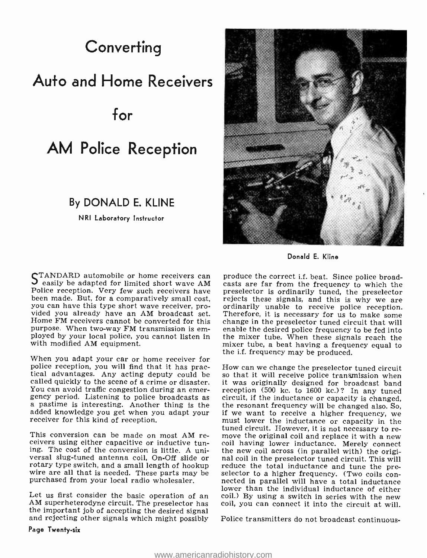# **Converting**

# Auto and Home Receivers

for

# AM Police Reception

### By DONALD E. KLINE

NRI Laboratory Instructor

"TANDARD automobile or home receivers can<br>easily be adapted for limited short wave AM Police reception. Very few such receivers have preselector is ordinarily tuned, the preselector been made. But, for a comparatively small cost, rejects these signals, and this is why we are been made. But, for a comparatively small cost, rejects these signals, and this is why we are you can have this type short wave receiver, pro- ordinarily unable to receive police reception. you can have this type short wave receiver, pro-<br>vided you already have an AM broadcast set. Therefore, it is necessary for us to make some<br>Home FM receivers cannot be converted for this change in the preselector tuned cir Home FM receivers cannot be converted for this change in the preselector tuned circuit that will<br>purpose. When two-way FM transmission is em-<br>enable the desired police frequency to be fed into ployed by your local police, you cannot listen in with modified AM equipment.

When you adapt your car or home receiver for police reception, you will find that it has practical advantages. Any acting deputy could be so that it will receive police transmission when called quickly to the scene of a crime or disaster. You can avoid traffic congestion during an emer-<br>gency period. Listening to police broadcasts as a circuit, if the inductance or capacity is changed,<br>a pastime is interesting. Another thing is the the resonant frequency wi added knowledge you get when you adapt your receiver for this kind of reception.

This conversion can be made on most AM receivers using either capacitive or inductive tuning. The cost of the conversion is little. A unipurchased from your local radio wholesaler.

Let us first consider the basic operation of an coil.) By using a switch in series with the new AM superheterodyne circuit. The preselector has coil, you can connect it into the circuit at will. the important job of accept and rejecting other signals which might possibly



Donald E. Kline

produce the correct i.f. beat. Since police broadcasts are far from the frequency to which the preselector is ordinarily tuned, the preselector the mixer tube. When these signals reach the mixer tube, a beat having a frequency equal to the i.f. frequency may be produced.

versal slug-tuned antenna coil, On-Off slide or and coil in the preselector tuned circuit. This will rotary type switch, and a small length of hookup reduce the total inductance and tune the pre-<br>wire are all that is neede How can we change the preselector tuned circuit it was originally designed for broadcast band reception (500 kc. to 1600 kc.) ? In any tuned must lower the inductance or capacity in the tuned circuit. However, it is not necessary to remove the original coil and replace it with a new coil having lower inductance. Merely connect the new coil across (in parallel with) the origireduce the total inductance and tune the prelower than the individual inductance of either coil.) By using a switch in series with the new

Police transmitters do not broadcast continuous-

Page Twenty-six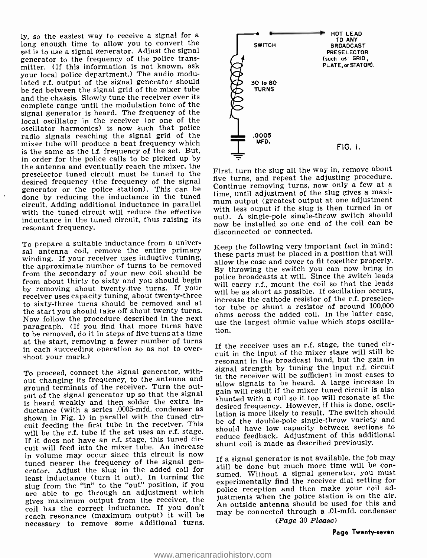ly, so the easiest way to receive a signal for a long enough time to allow you to convert the set is to use a signal generator. Adjust the signal generator to the frequency of the police transmitter. (If this information is not known, ask your local police department.) The audio modulated r.f. output of the signal generator should be fed between the signal grid of the mixer tube and the chassis. Slowly tune the receiver over its complete range until the modulation tone of the signal generator is heard. The frequency of the local oscillator in the receiver (or one of the oscillator harmonics) is now such that police radio signals reaching the signal grid of the mixer tube will produce a beat frequency which is the same as the i.f. frequency of the set. But, in order for the police calls to be picked up by the antenna and eventually reach the mixer, the preselector tuned circuit must be tuned to the desired frequency (the frequency of the signal live turns, and repeat the adjusting procedure. generator or the police station). This can be done by reducing the inductance in the tuned<br>circuit, Adding additional inductance in papellal mum output (greatest output at one adjustment circuit. Adding additional inductance in parallel with the tuned circuit will reduce the effective<br>inductorial in the students in the tuned circuit thus rejsing it. out). A single-pole single-throw switch should inductance in the tuned circuit, thus raising its  $\frac{0 \text{u} \cdot \text{u}}{\text{now}}$  be installed so one end of the coil can be resonant frequency.

To prepare a suitable inductance from a universal antenna coil, remove the entire primary winding. If your receiver uses indugtive tuning, the approximate number of turns to be removed from the secondary of your new coil should be from about thirty to sixty and you should begin by removing about twenty -five turns. If your receiver uses capacity tuning, about twenty -three to sixty -three turns should be removed and at the start you should take off about twenty turns. The start a resistor of around 100,000 charge of a cost of the latter case, Now follow the procedure described in the next paragraph. (If you find that more turns have to be removed, do it in steps of five turns at a time at the start, removing a fewer number of turns in each succeeding operation so as not to over- shoot your mark.)

To proceed, connect the signal generator, without changing its frequency, to the antenna and ground terminals of the receiver. Turn the output of the signal generator up so that the signal is heard weakly and then solder the extra inshown in Fig. 1) in parallel with the tuned circuit feeding the first tube in the receiver. This will be the r.f. tube if the set uses an r.f. stage. If it does not have an r.f. stage, this tuned circuit will feed into the mixer tube. An increase<br>in volume may occur since this circuit is now tuned nearer the frequency of the signal generator. Adjust the slug in the added coil for sum we use our much more time will be conleast inductance (turn it out). In turning the slug from the "in" to the "out" position, if you are able to go through an adjustment which gives maximum output from the receiver, the coil has the correct inductance. If you don't reach resonance (maximum output) It will be necessary to remove some additional turns.



First, turn the slug all the way in, remove about five turns, and repeat the adjusting procedure. time, until adjustment of the slug gives a maxiwith less ouput if the slug is then turned in or disconnected or connected.

Keep the following very important fact in mind: these parts must be placed in a position that will allow the case and cover to fit together properly. By throwing the switch you can now bring in police broadcasts at will. Since the switch leads will carry r.f., mount the coil so that the leads will be as short as possible. If oscillation occurs, increase the cathode resistor of the r.f. preselector tube or shunt a resistor of around 100,000 use the largest ohmic value which stops oscillation.

If the receiver uses an r.f. stage, the tuned circuit in the input of the mixer stage will still be resonant in the broadcast band, but the gain in signal strength by tuning the input r.f. circuit in the receiver will be sufficient in most cases to allow signals to be heard. A large increase in gain will result if the mixer tuned circuit is also shunted with a coil so it too will resonate at the desired frequency. However, if this is done, oscillation is more likely to result. The switch should be of the double-pole single-throw variety and should have low capacity between sections to reduce feedback. Adjustment of this additional shunt coil is made as described previously.

If a signal generator is not available, the job may still be done but much more time will be conexperimentally find the receiver dial setting for police reception and then make your coil adjustments when the police station is on the air. An outside antenna should be used for this and may be connected through a .01 -mfd. condenser (Page 30 Please)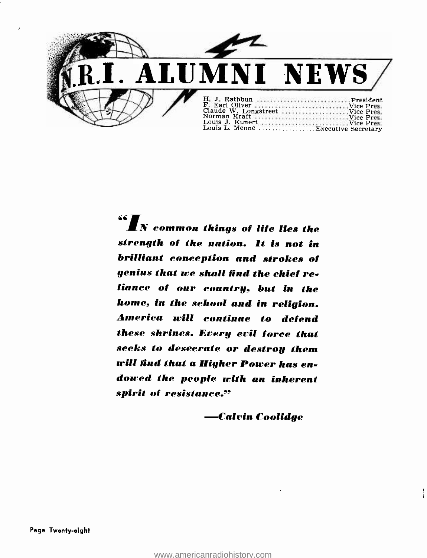

 $\widetilde{\mathbf{G}}$   $\mathbf{N}$  common things of life lies the strength of the nation. It is not in brilliant conception and strokes of genius that we shall find the chief reliance of our country, but in the home, in the school and in religion. America will continue to defend these shrines. Every evil force that seeks to desecrate or destroy them will find that a Higher Power has endowed the people with an inherent spirit of resistance."

-Calvin Coolidge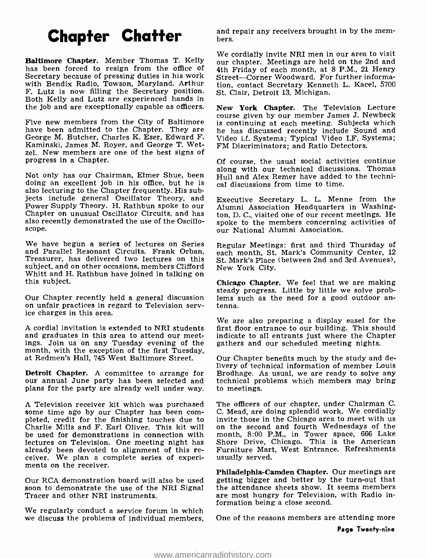# **Chapter Chatter** and 1

has been forced to resign from the office of 4th Friday of each month, at 8 P.M., 21 Henry Secretary because of pressing duties in his work Street—Corner Woodward. For further informa-Secretary because of pressing duties in his work with Bendix Radio, Towson, Maryland. Arthur F. Lutz is now filling the Secretary position. Both Kelly and Lutz are experienced hands in<br>the job and are exceptionally capable as officers. New York Chapter. The Television Lecture the job and are exceptionally capable as officers.

Five new members from the City of Baltimore<br>have been admitted to the Chapter. They are George M. Butcher, Charles K. Eser, Edward F. Kaminski, James M. Royer, and George T. Wetzel. New members are one of the best signs of progress in a Chapter.

Not only has our Chairman, Elmer Shue, been doing an excellent job in his office, but he is also lecturing to the Chapter frequently. His subjects include general Oscillator Theory, and Power Supply Theory. H. Rathbun spoke to our Chapter on unusual Oscillator Circuits, and has also recently demonstrated the use of the Oscilloscope.

We have begun a series of lectures on Series and Parallel Resonant Circuits. Frank Orban, Treasurer, has delivered two lectures on this subject, and on other occasions, members Clifford Whitt and H. Rathbun have joined in talking on this subject.

Our Chapter recently held a general discussion on unfair practices in regard to Television serv- ice charges in this area.

A cordial invitation is extended to NRI students and graduates in this area to attend our meetings. Join us on any Tuesday evening of the month, with the exception of the first Tuesday, at Redmen's Hall, 745 West Baltimore Street.

Detroit Chapter. A committee to arrange for Brodhage. As usual, we are ready to solve any our annual June party has been selected and technical problems which members may bring plans for the party are already well under way.

A Television receiver kit which was purchased The officers of our chapter, under Chairman C.<br>some time ago by our Chapter has been com- C. Mead, are doing splendid work. We cordially<br>pleted, credit for the finishing touche Charlie Mills and F. Earl Oliver. This kit will be used for demonstrations in connection with lectures on Television. One meeting night has already been devoted to alignment of this receiver. We plan a complete series of experiments on the receiver.

Our RCA demonstration board will also be used soon to demonstrate the use of the NRI Signal Tracer and other NRI instruments.

We regularly conduct a service forum in which we discuss the problems of individual members,

and repair any receivers brought in by the mem-

We cordially invite NRI men in our area to visit<br>Baltimore Chapter. Member Thomas T. Kelly our chapter. Meetings are held on the 2nd and our chapter. Meetings are held on the 2nd and 4th Friday of each month, at 8 P.M., 21 Henry tion, contact Secretary Kenneth L. Kacel, 5700 St. Clair, Detroit 13, Michigan.

> course given by our member James J. Newbeck is continuing at each meeting. Subjects which he has discussed recently include Sound and Video i.f. Systems; Typical Video I.F. Systems; FM Discriminators; and Ratio Detectors.

> Of course, the usual social activities continue along with our technical discussions. Thomas Hull and Alex Remer have added to the technical discussions from time to time.

> Executive Secretary L. L. Menne from the Alumni Association Headquarters in Washington, D. C., visited one of our recent meetings. He spoke to the members concerning activities of our National Alumni Association.

> Regular Meetings: first and third Thursday of each month, St. Mark's Community Center, 12 St. Mark's Place (between 2nd and 3rd Avenues), New York City.

> Chicago Chapter. We feel that we are making steady progress. Little by little we solve prob- lems such as the need for a good outdoor an- tenna.

We are also preparing a display easel for the first floor entrance to our building. This should indicate to all entrants just where the Chapter

Our Chapter benefits much by the study and delivery of technical information of member Louis Brodhage. As usual, we are ready to solve any to meetings.

The officers of our chapter, under Chairman C. C. Mead, are doing splendid work. We cordially on the second and fourth Wednesdays of the month, 8:00 P.M., in Tower space, 666 Lake Shore Drive, Chicago. This is the American Furniture Mart, West Entrance. Refreshments usually served.

Philadelphia- Camden Chapter. Our meetings are getting bigger and better by the turn-out that the attendance sheets show. It seems members are most hungry for Television, with Radio information being a close second.

One of the reasons members are attending more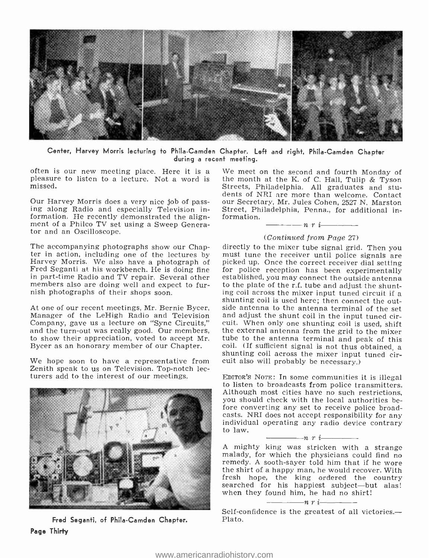

Center, Harvey Morris lecturing to Phila-Camden Chapter. Left and right, Phila-Camden Chapter during a recent meeting.

often is our new meeting place. Here it is a We meet on the second and fourth Monday of pleasure to listen to a lecture. Not a word is the month at the K, of C. Hall, Tulip & Tyson missed.

Our Harvey Morris does a very nice job of pass-<br>ing along Radio and especially Television in-<br>formation. He recently demonstrated the alignment of a Philco TV set using a Sweep Generator and an Oscilloscope.

The accompanying photographs show our Chap-<br>ter in action, including one of the lectures by must tune the receiver until police signals are<br>Harvey Morris. We also have a photograph of picked up. Once the correct receiver d Fred Seganti at his workbench. He is doing fine in part-time Radio and TV repair. Several other established, you may connect the outside antenna members also are doing well and expect to furnish photographs of their shops soon.

Company, gave us a lecture on "Sync Circuits," cuit. When only one shunting coil is used, shift and the turn-out was really good. Our members, the external antenna from the grid to the mixer and the turn-out was really good. Our members, to show their appreciation, voted to accept Mr.

We hope soon to have a representative from cuit also will probably be necessary.) Zenith speak to us on Television. Top-notch lecturers add to the interest of our meetings.



Fred Seganti, of Phila-Camden Chapter. Page Thirty

We meet on the second and fourth Monday of Streets, Philadelphia. All graduates and stu-<br>dents of NRI are more than welcome. Contact our Secretary, Mr. Jules Cohen, 2527 N. Marston Street, Philadelphia, Penna., for additional in-

#### (Continued from Page 27)

 $-\cdots$ nri $-\cdots$ 

shunting coil is used here; then connect the out-<br>At one of our recent meetings, Mr. Bernie Bycer, side antenna to the antenna terminal of the set<br>Manager of the LeHigh Radio and Television and adjust the shunt coil in the Bycer as an honorary member of our Chapter. coil. (If sufficient signal is not thus obtained, a<br>shunting coil across the mixer input tuned cirdirectly to the mixer tube signal grid. Then you for police reception has been experimentally to the plate of the r.f. tube and adjust the shunting coil across the mixer input tuned circuit if a side antenna to the antenna terminal of the set and adjust the shunt coil in the input tuned cirtube to the antenna terminal and peak of this coil. (If sufficient signal is not thus obtained, a

> EDITOR'S NOTR: In some communities it is illegal to listen to broadcasts from police transmitters. Although most cities have no such restrictions, you should check with the local authorities before converting any set to receive police broad-<br>casts. NRI does not accept responsibility for any individual operating any radio device contrary to law. to law. nri

> <sup>A</sup>mighty king was stricken with a strange malady, for which the physicians could find no remedy. A sooth -sayer told him that if he wore the shirt of a happy man, he would recover. With fresh hope, the king ordered the country<br>searched for his happiest subject—but alas! when they found him, he had no shirt!

> $-nr$ i-Self-confidence is the greatest of all victories.— Plato.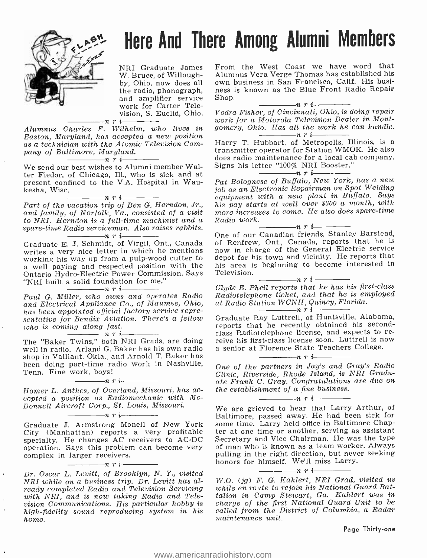

# Here And There Among Alumni Members

NRI Graduate James W. Bruce, of Willoughthe radio, phonograph, ness i<br>and amplifier service Shop. and amplifier service work for Carter Television, S. Euclid, Ohio.<br> $-n \cdot i$ 

Alumnus Charles F. Wilhelm, who lives in Easton, Maryland, has accepted a new position as a technician with the Atomic Television Company of Baltimore, Maryland. nri

We send our best wishes to Alumni member Walter Fiedor, of Chicago, Ill., who is sick and at  $r = \frac{2r}{r}$  are  $r = \frac{2r}{r}$  and  $r = \frac{2r}{r}$  are  $r = \frac{2r}{r}$  and  $r = \frac{2r}{r}$  are  $r = \frac{2r}{r}$  and  $r = \frac{2r}{r}$  and  $r = \frac{2r}{r}$  and  $r = \frac{2r}{r}$  are  $r = \frac{2r}{r}$  and  $r$ present confined to the V.A. Hospital in Wau-

kesha, Wisc. nri Part of the vacation trip of Ben G. Herndon, Jr., and family, of Norfolk, Va., consisted of a visit<br>to NRI. Herndon is a full-time machinist and a spare-time Radio serviceman. Also raises rabbits.<br>  $\frac{m}{\sqrt{r}}$   $\frac{n}{r}$   $\frac{n}{r}$   $\frac{n}{r}$   $\frac{n}{r}$   $\frac{n}{r}$   $\frac{n}{r}$   $\frac{n}{r}$   $\frac{n}{r}$   $\frac{n}{r}$   $\frac{n}{r}$   $\frac{n}{r}$   $\frac{n}{r}$   $\frac{n}{r}$   $\frac{n}{r}$   $\frac{n}{r}$   $\frac{n}{r}$   $\frac{n}{r}$   $\frac{n$ 

Graduate E. J. Schmidt, of Virgil, Ont., Canada writes a very nice letter in which he mentions<br>working his way up from a pulp-wood cutter to a well paying and respected position with the his area is<br>Ontario Hydro-Electric Power Commission. Says Television. Ontario Hydro -Electric Power Commission. Says "NRI built a solid foundation for me."

Paul G. Miller, who owns and operates Radio and Electrical Appliance Co., of Maumee, Ohio, has been appointed official factory service representative for Bendix Aviation. There's a fellow Graduate Ray Luttrell, of Huntsville, Alabama,<br>who is coming along fast. who is coming along fast.<br> $\frac{m}{n}$  n r i-

The "Baker Twins," both NRI Grads, are doing ceive his first-class license soon. Luttrell is now well in radio. Arland G. Baker has his own radio shop in Valliant, Okla., and Arnold T. Baker has been doing part-time radio work in Nashville, Tenn. Fine work, boys!<br> $n \overline{r}$   $n \overline{r}$   $n \overline{r}$ <br>Homer L. Anthes, of Overland, Missouri, has ac-

cepted a position as Radiomechanic with Mc-Donnell Aircraft Corp., St. Louis, Missouri.

 $-n r i$ 

City (Manhattan) reports a very profitable specialty. He changes AC receivers to AC-DC operation. Says this problem can become very complex in larger receivers.<br> $\frac{1}{x} \frac{1}{x} \frac{1}{x} \frac{1}{x} \frac{1}{x} \frac{1}{x} \frac{1}{x} \frac{1}{x} \frac{1}{x} \frac{1}{x} \frac{1}{x} \frac{1}{x} \frac{1}{x} \frac{1}{x} \frac{1}{x} \frac{1}{x} \frac{1}{x} \frac{1}{x} \frac{1}{x} \frac{1}{x} \frac{1}{x} \frac{1}{x} \frac{1}{x} \frac{1}{x} \frac{1}{x} \frac{1}{x} \frac{1}{x} \frac$ 

Dr. Oscar L. Levitt, of Brooklyn, N. Y., visited NEI while on a business trip. Dr. Levitt has already completed Radio and Television Servicing while en route to rejoin his National Guard Batwith NRI, and is now taking Radio and Television Communications. His particular hobby is high -fidelity sound reproducing system in his home.

by, Ohio, now does all own business in San Francisco, Calif. His busi-<br>the radio, phonograph, ness is known as the Blue Front Radio Repair From the West Coast we have word that Alumnus Vera Verge Thomas has established his

Shop.<br>Vodra Fisher, of Cincinnati, Ohio, is doing repair work for a Motorola Television Dealer in Montgomery, Ohio. Has all the work he can handle.

Harry T. Hubbart, of Metropolis, Illinois, is a transmitter operator for Station WMOK. He also does radio maintenance for a local cab company. Signs his letter "100% NRI Booster."

job as an Electronic Repairman on Spot Welding equipment with a new plant in Buffalo. Says<br>his pay starts at well over \$300 a month, with more increases to come. He also does spare-time Radio work.

nri One of our Canadian friends, Stanley Barstead, of Renfrew, Ont., Canada, reports that he is now in charge of the General Electric service depot for his town and vicinity. He reports that his area is beginning to become interested in

Television.<br>
Clyde E. Pheil reports that he has his first-class Radiotelephone ticket, and that he is employed at Radio Station WCNH, Quincy, Florida.

Graduate Ray Luttrell, of Huntsville, Alabama, class Radiotelephone license, and expects to receive his first-class license soon. Luttrell is now a senior at Florence State Teachers College.

One of the partners in Jay's and Gray's Radio Clinic, Riverside, Rhode Island, is NRI Graduate Frank C. Gray. Congratulations are due on<br>the establishment of a fine business.<br> $\frac{1}{2}$   $\frac{1}{2}$   $\frac{1}{2}$   $\frac{1}{2}$   $\frac{1}{2}$   $\frac{1}{2}$   $\frac{1}{2}$   $\frac{1}{2}$   $\frac{1}{2}$   $\frac{1}{2}$   $\frac{1}{2}$   $\frac{1}{2}$   $\frac{1}{2}$   $\frac{1}{2$ 

Graduate J. Armstrong Monell of New York We are grieved to hear that Larry Arthur, of Baltimore, passed away. He had been sick for ter at one time or another, serving as assistant Secretary and Vice Chairman. He was the type of man who is known as a team worker. Always pulling in the right direction, but never seeking honors for himself. We'll miss Larry.

> W.O.  $(jg)$  F. G. Kahlert, NRI Grad, visited us talion in Camp Stewart, Ga. Kahlert was in charge of the first National Guard Unit to be called from the District of Columbia, a Radar maintenance unit.

> > Page Thirty-one